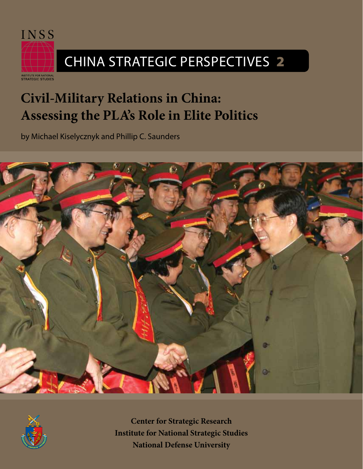

# China Strategic Perspectives 2

NSTITUTE FOR NATIONAL<br>STRATEGIC STUDIES

# **Civil-Military Relations in China: Assessing the PLA's Role in Elite Politics**

by Michael Kiselycznyk and Phillip C. Saunders





**Center for Strategic Research Institute for National Strategic Studies National Defense University**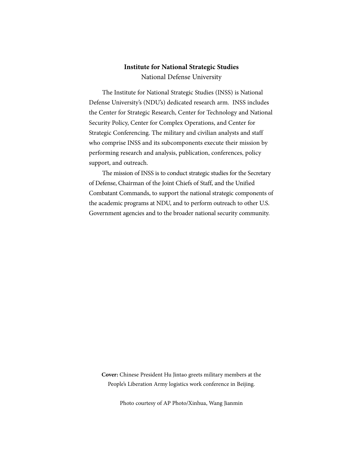## **Institute for National Strategic Studies**

National Defense University

The Institute for National Strategic Studies (INSS) is National Defense University's (NDU's) dedicated research arm. INSS includes the Center for Strategic Research, Center for Technology and National Security Policy, Center for Complex Operations, and Center for Strategic Conferencing. The military and civilian analysts and staff who comprise INSS and its subcomponents execute their mission by performing research and analysis, publication, conferences, policy support, and outreach.

The mission of INSS is to conduct strategic studies for the Secretary of Defense, Chairman of the Joint Chiefs of Staff, and the Unified Combatant Commands, to support the national strategic components of the academic programs at NDU, and to perform outreach to other U.S. Government agencies and to the broader national security community.

**Cover:** Chinese President Hu Jintao greets military members at the People's Liberation Army logistics work conference in Beijing.

Photo courtesy of AP Photo/Xinhua, Wang Jianmin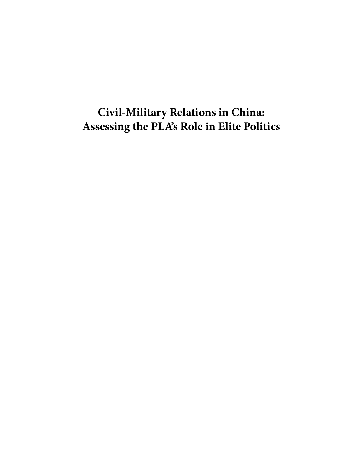# **Civil-Military Relations in China: Assessing the PLA's Role in Elite Politics**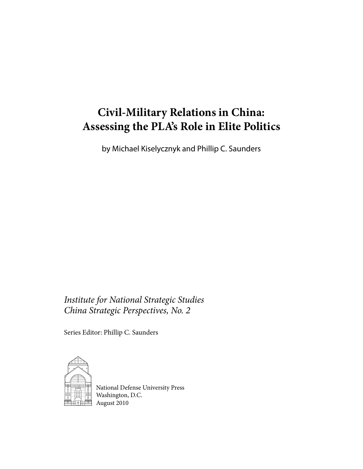## **Civil-Military Relations in China: Assessing the PLA's Role in Elite Politics**

by Michael Kiselycznyk and Phillip C. Saunders

*Institute for National Strategic Studies China Strategic Perspectives, No. 2*

Series Editor: Phillip C. Saunders



National Defense University Press Washington, D.C. August 2010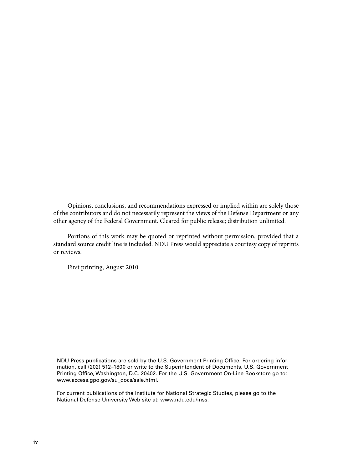Opinions, conclusions, and recommendations expressed or implied within are solely those of the contributors and do not necessarily represent the views of the Defense Department or any other agency of the Federal Government. Cleared for public release; distribution unlimited.

Portions of this work may be quoted or reprinted without permission, provided that a standard source credit line is included. NDU Press would appreciate a courtesy copy of reprints or reviews.

First printing, August 2010

NDU Press publications are sold by the U.S. Government Printing Office. For ordering information, call (202) 512–1800 or write to the Superintendent of Documents, U.S. Government Printing Office, Washington, D.C. 20402. For the U.S. Government On-Line Bookstore go to: www.access.gpo.gov/su\_docs/sale.html.

For current publications of the Institute for National Strategic Studies, please go to the National Defense University Web site at: www.ndu.edu/inss.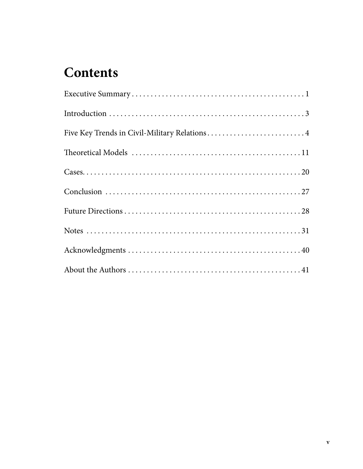# **Contents**

| Five Key Trends in Civil-Military Relations4 |
|----------------------------------------------|
|                                              |
|                                              |
|                                              |
|                                              |
|                                              |
|                                              |
|                                              |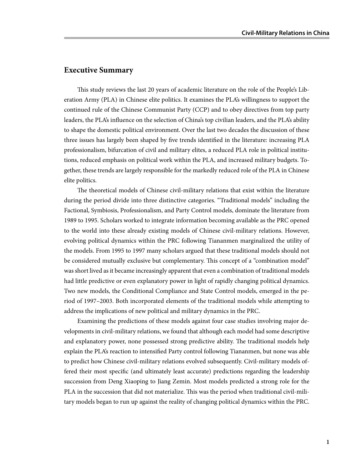#### **Executive Summary**

This study reviews the last 20 years of academic literature on the role of the People's Liberation Army (PLA) in Chinese elite politics. It examines the PLA's willingness to support the continued rule of the Chinese Communist Party (CCP) and to obey directives from top party leaders, the PLA's influence on the selection of China's top civilian leaders, and the PLA's ability to shape the domestic political environment. Over the last two decades the discussion of these three issues has largely been shaped by five trends identified in the literature: increasing PLA professionalism, bifurcation of civil and military elites, a reduced PLA role in political institutions, reduced emphasis on political work within the PLA, and increased military budgets. Together, these trends are largely responsible for the markedly reduced role of the PLA in Chinese elite politics.

The theoretical models of Chinese civil-military relations that exist within the literature during the period divide into three distinctive categories. "Traditional models" including the Factional, Symbiosis, Professionalism, and Party Control models, dominate the literature from 1989 to 1995. Scholars worked to integrate information becoming available as the PRC opened to the world into these already existing models of Chinese civil-military relations. However, evolving political dynamics within the PRC following Tiananmen marginalized the utility of the models. From 1995 to 1997 many scholars argued that these traditional models should not be considered mutually exclusive but complementary. This concept of a "combination model" was short lived as it became increasingly apparent that even a combination of traditional models had little predictive or even explanatory power in light of rapidly changing political dynamics. Two new models, the Conditional Compliance and State Control models, emerged in the period of 1997–2003. Both incorporated elements of the traditional models while attempting to address the implications of new political and military dynamics in the PRC.

Examining the predictions of these models against four case studies involving major developments in civil-military relations, we found that although each model had some descriptive and explanatory power, none possessed strong predictive ability. The traditional models help explain the PLA's reaction to intensified Party control following Tiananmen, but none was able to predict how Chinese civil-military relations evolved subsequently. Civil-military models offered their most specific (and ultimately least accurate) predictions regarding the leadership succession from Deng Xiaoping to Jiang Zemin. Most models predicted a strong role for the PLA in the succession that did not materialize. This was the period when traditional civil-military models began to run up against the reality of changing political dynamics within the PRC.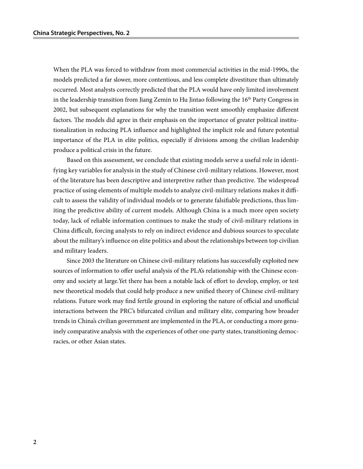When the PLA was forced to withdraw from most commercial activities in the mid-1990s, the models predicted a far slower, more contentious, and less complete divestiture than ultimately occurred. Most analysts correctly predicted that the PLA would have only limited involvement in the leadership transition from Jiang Zemin to Hu Jintao following the  $16<sup>th</sup>$  Party Congress in 2002, but subsequent explanations for why the transition went smoothly emphasize different factors. The models did agree in their emphasis on the importance of greater political institutionalization in reducing PLA influence and highlighted the implicit role and future potential importance of the PLA in elite politics, especially if divisions among the civilian leadership produce a political crisis in the future.

Based on this assessment, we conclude that existing models serve a useful role in identifying key variables for analysis in the study of Chinese civil-military relations. However, most of the literature has been descriptive and interpretive rather than predictive. The widespread practice of using elements of multiple models to analyze civil-military relations makes it difficult to assess the validity of individual models or to generate falsifiable predictions, thus limiting the predictive ability of current models. Although China is a much more open society today, lack of reliable information continues to make the study of civil-military relations in China difficult, forcing analysts to rely on indirect evidence and dubious sources to speculate about the military's influence on elite politics and about the relationships between top civilian and military leaders.

Since 2003 the literature on Chinese civil-military relations has successfully exploited new sources of information to offer useful analysis of the PLA's relationship with the Chinese economy and society at large.Yet there has been a notable lack of effort to develop, employ, or test new theoretical models that could help produce a new unified theory of Chinese civil-military relations. Future work may find fertile ground in exploring the nature of official and unofficial interactions between the PRC's bifurcated civilian and military elite, comparing how broader trends in China's civilian government are implemented in the PLA, or conducting a more genuinely comparative analysis with the experiences of other one-party states, transitioning democracies, or other Asian states.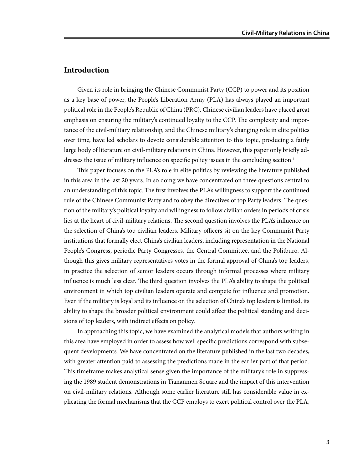### **Introduction**

Given its role in bringing the Chinese Communist Party (CCP) to power and its position as a key base of power, the People's Liberation Army (PLA) has always played an important political role in the People's Republic of China (PRC). Chinese civilian leaders have placed great emphasis on ensuring the military's continued loyalty to the CCP. The complexity and importance of the civil-military relationship, and the Chinese military's changing role in elite politics over time, have led scholars to devote considerable attention to this topic, producing a fairly large body of literature on civil-military relations in China. However, this paper only briefly addresses the issue of military influence on specific policy issues in the concluding section.<sup>1</sup>

This paper focuses on the PLA's role in elite politics by reviewing the literature published in this area in the last 20 years. In so doing we have concentrated on three questions central to an understanding of this topic. The first involves the PLA's willingness to support the continued rule of the Chinese Communist Party and to obey the directives of top Party leaders. The question of the military's political loyalty and willingness to follow civilian orders in periods of crisis lies at the heart of civil-military relations. The second question involves the PLA's influence on the selection of China's top civilian leaders. Military officers sit on the key Communist Party institutions that formally elect China's civilian leaders, including representation in the National People's Congress, periodic Party Congresses, the Central Committee, and the Politburo. Although this gives military representatives votes in the formal approval of China's top leaders, in practice the selection of senior leaders occurs through informal processes where military influence is much less clear. The third question involves the PLA's ability to shape the political environment in which top civilian leaders operate and compete for influence and promotion. Even if the military is loyal and its influence on the selection of China's top leaders is limited, its ability to shape the broader political environment could affect the political standing and decisions of top leaders, with indirect effects on policy.

In approaching this topic, we have examined the analytical models that authors writing in this area have employed in order to assess how well specific predictions correspond with subsequent developments. We have concentrated on the literature published in the last two decades, with greater attention paid to assessing the predictions made in the earlier part of that period. This timeframe makes analytical sense given the importance of the military's role in suppressing the 1989 student demonstrations in Tiananmen Square and the impact of this intervention on civil-military relations. Although some earlier literature still has considerable value in explicating the formal mechanisms that the CCP employs to exert political control over the PLA,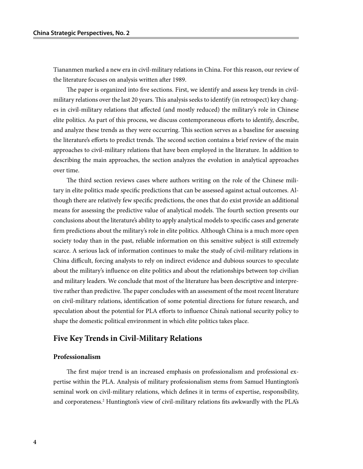Tiananmen marked a new era in civil-military relations in China. For this reason, our review of the literature focuses on analysis written after 1989.

The paper is organized into five sections. First, we identify and assess key trends in civilmilitary relations over the last 20 years. This analysis seeks to identify (in retrospect) key changes in civil-military relations that affected (and mostly reduced) the military's role in Chinese elite politics. As part of this process, we discuss contemporaneous efforts to identify, describe, and analyze these trends as they were occurring. This section serves as a baseline for assessing the literature's efforts to predict trends. The second section contains a brief review of the main approaches to civil-military relations that have been employed in the literature. In addition to describing the main approaches, the section analyzes the evolution in analytical approaches over time.

The third section reviews cases where authors writing on the role of the Chinese military in elite politics made specific predictions that can be assessed against actual outcomes. Although there are relatively few specific predictions, the ones that do exist provide an additional means for assessing the predictive value of analytical models. The fourth section presents our conclusions about the literature's ability to apply analytical models to specific cases and generate firm predictions about the military's role in elite politics. Although China is a much more open society today than in the past, reliable information on this sensitive subject is still extremely scarce. A serious lack of information continues to make the study of civil-military relations in China difficult, forcing analysts to rely on indirect evidence and dubious sources to speculate about the military's influence on elite politics and about the relationships between top civilian and military leaders. We conclude that most of the literature has been descriptive and interpretive rather than predictive. The paper concludes with an assessment of the most recent literature on civil-military relations, identification of some potential directions for future research, and speculation about the potential for PLA efforts to influence China's national security policy to shape the domestic political environment in which elite politics takes place.

#### **Five Key Trends in Civil-Military Relations**

#### **Professionalism**

The first major trend is an increased emphasis on professionalism and professional expertise within the PLA. Analysis of military professionalism stems from Samuel Huntington's seminal work on civil-military relations, which defines it in terms of expertise, responsibility, and corporateness.<sup>2</sup> Huntington's view of civil-military relations fits awkwardly with the PLA's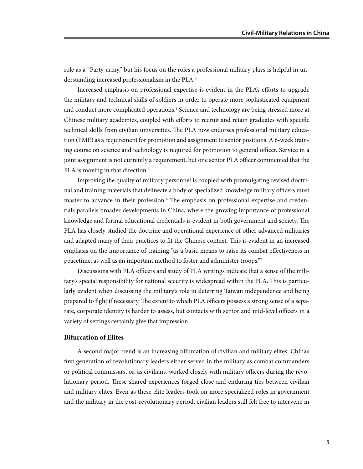role as a "Party-army," but his focus on the roles a professional military plays is helpful in understanding increased professionalism in the PLA.<sup>3</sup>

Increased emphasis on professional expertise is evident in the PLA's efforts to upgrade the military and technical skills of soldiers in order to operate more sophisticated equipment and conduct more complicated operations.<sup>4</sup> Science and technology are being stressed more at Chinese military academies, coupled with efforts to recruit and retain graduates with specific technical skills from civilian universities. The PLA now endorses professional military education (PME) as a requirement for promotion and assignment to senior positions. A 6-week training course on science and technology is required for promotion to general officer. Service in a joint assignment is not currently a requirement, but one senior PLA officer commented that the PLA is moving in that direction.<sup>5</sup>

Improving the quality of military personnel is coupled with promulgating revised doctrinal and training materials that delineate a body of specialized knowledge military officers must master to advance in their profession.<sup>6</sup> The emphasis on professional expertise and credentials parallels broader developments in China, where the growing importance of professional knowledge and formal educational credentials is evident in both government and society. The PLA has closely studied the doctrine and operational experience of other advanced militaries and adapted many of their practices to fit the Chinese context. This is evident in an increased emphasis on the importance of training "as a basic means to raise its combat effectiveness in peacetime, as well as an important method to foster and administer troops."7

Discussions with PLA officers and study of PLA writings indicate that a sense of the military's special responsibility for national security is widespread within the PLA. This is particularly evident when discussing the military's role in deterring Taiwan independence and being prepared to fight if necessary. The extent to which PLA officers possess a strong sense of a separate, corporate identity is harder to assess, but contacts with senior and mid-level officers in a variety of settings certainly give that impression.

#### **Bifurcation of Elites**

A second major trend is an increasing bifurcation of civilian and military elites. China's first generation of revolutionary leaders either served in the military as combat commanders or political commissars, or, as civilians, worked closely with military officers during the revolutionary period. These shared experiences forged close and enduring ties between civilian and military elites. Even as these elite leaders took on more specialized roles in government and the military in the post-revolutionary period, civilian leaders still felt free to intervene in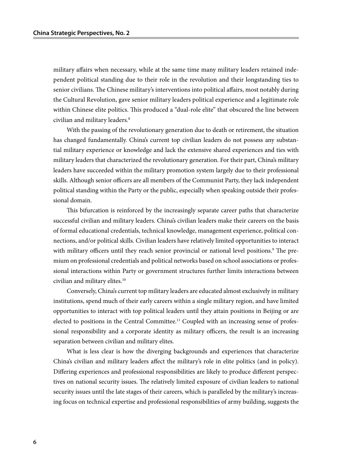military affairs when necessary, while at the same time many military leaders retained independent political standing due to their role in the revolution and their longstanding ties to senior civilians. The Chinese military's interventions into political affairs, most notably during the Cultural Revolution, gave senior military leaders political experience and a legitimate role within Chinese elite politics. This produced a "dual-role elite" that obscured the line between civilian and military leaders.8

With the passing of the revolutionary generation due to death or retirement, the situation has changed fundamentally. China's current top civilian leaders do not possess any substantial military experience or knowledge and lack the extensive shared experiences and ties with military leaders that characterized the revolutionary generation. For their part, China's military leaders have succeeded within the military promotion system largely due to their professional skills. Although senior officers are all members of the Communist Party, they lack independent political standing within the Party or the public, especially when speaking outside their professional domain.

This bifurcation is reinforced by the increasingly separate career paths that characterize successful civilian and military leaders. China's civilian leaders make their careers on the basis of formal educational credentials, technical knowledge, management experience, political connections, and/or political skills. Civilian leaders have relatively limited opportunities to interact with military officers until they reach senior provincial or national level positions.<sup>9</sup> The premium on professional credentials and political networks based on school associations or professional interactions within Party or government structures further limits interactions between civilian and military elites.<sup>10</sup>

Conversely, China's current top military leaders are educated almost exclusively in military institutions, spend much of their early careers within a single military region, and have limited opportunities to interact with top political leaders until they attain positions in Beijing or are elected to positions in the Central Committee.11 Coupled with an increasing sense of professional responsibility and a corporate identity as military officers, the result is an increasing separation between civilian and military elites.

What is less clear is how the diverging backgrounds and experiences that characterize China's civilian and military leaders affect the military's role in elite politics (and in policy). Differing experiences and professional responsibilities are likely to produce different perspectives on national security issues. The relatively limited exposure of civilian leaders to national security issues until the late stages of their careers, which is paralleled by the military's increasing focus on technical expertise and professional responsibilities of army building, suggests the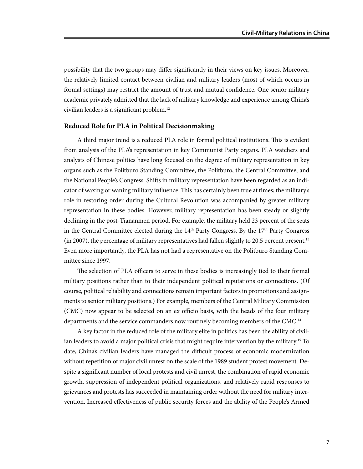possibility that the two groups may differ significantly in their views on key issues. Moreover, the relatively limited contact between civilian and military leaders (most of which occurs in formal settings) may restrict the amount of trust and mutual confidence. One senior military academic privately admitted that the lack of military knowledge and experience among China's civilian leaders is a significant problem.12

#### **Reduced Role for PLA in Political Decisionmaking**

A third major trend is a reduced PLA role in formal political institutions. This is evident from analysis of the PLA's representation in key Communist Party organs. PLA watchers and analysts of Chinese politics have long focused on the degree of military representation in key organs such as the Politburo Standing Committee, the Politburo, the Central Committee, and the National People's Congress. Shifts in military representation have been regarded as an indicator of waxing or waning military influence. This has certainly been true at times; the military's role in restoring order during the Cultural Revolution was accompanied by greater military representation in these bodies. However, military representation has been steady or slightly declining in the post-Tiananmen period. For example, the military held 23 percent of the seats in the Central Committee elected during the  $14<sup>th</sup>$  Party Congress. By the  $17<sup>th</sup>$  Party Congress (in 2007), the percentage of military representatives had fallen slightly to 20.5 percent present.13 Even more importantly, the PLA has not had a representative on the Politburo Standing Committee since 1997.

The selection of PLA officers to serve in these bodies is increasingly tied to their formal military positions rather than to their independent political reputations or connections. (Of course, political reliability and connections remain important factors in promotions and assignments to senior military positions.) For example, members of the Central Military Commission (CMC) now appear to be selected on an ex officio basis, with the heads of the four military departments and the service commanders now routinely becoming members of the CMC.<sup>14</sup>

A key factor in the reduced role of the military elite in politics has been the ability of civilian leaders to avoid a major political crisis that might require intervention by the military.<sup>15</sup> To date, China's civilian leaders have managed the difficult process of economic modernization without repetition of major civil unrest on the scale of the 1989 student protest movement. Despite a significant number of local protests and civil unrest, the combination of rapid economic growth, suppression of independent political organizations, and relatively rapid responses to grievances and protests has succeeded in maintaining order without the need for military intervention. Increased effectiveness of public security forces and the ability of the People's Armed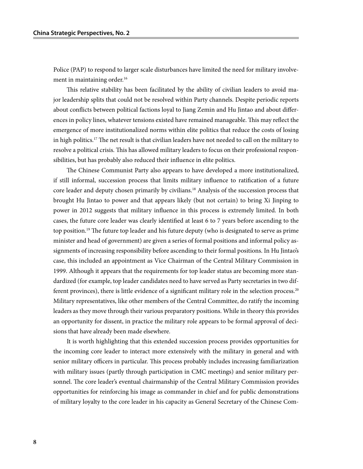Police (PAP) to respond to larger scale disturbances have limited the need for military involvement in maintaining order.<sup>16</sup>

This relative stability has been facilitated by the ability of civilian leaders to avoid major leadership splits that could not be resolved within Party channels. Despite periodic reports about conflicts between political factions loyal to Jiang Zemin and Hu Jintao and about differences in policy lines, whatever tensions existed have remained manageable. This may reflect the emergence of more institutionalized norms within elite politics that reduce the costs of losing in high politics.17 The net result is that civilian leaders have not needed to call on the military to resolve a political crisis. This has allowed military leaders to focus on their professional responsibilities, but has probably also reduced their influence in elite politics.

The Chinese Communist Party also appears to have developed a more institutionalized, if still informal, succession process that limits military influence to ratification of a future core leader and deputy chosen primarily by civilians.18 Analysis of the succession process that brought Hu Jintao to power and that appears likely (but not certain) to bring Xi Jinping to power in 2012 suggests that military influence in this process is extremely limited. In both cases, the future core leader was clearly identified at least 6 to 7 years before ascending to the top position.<sup>19</sup> The future top leader and his future deputy (who is designated to serve as prime minister and head of government) are given a series of formal positions and informal policy assignments of increasing responsibility before ascending to their formal positions. In Hu Jintao's case, this included an appointment as Vice Chairman of the Central Military Commission in 1999. Although it appears that the requirements for top leader status are becoming more standardized (for example, top leader candidates need to have served as Party secretaries in two different provinces), there is little evidence of a significant military role in the selection process.20 Military representatives, like other members of the Central Committee, do ratify the incoming leaders as they move through their various preparatory positions. While in theory this provides an opportunity for dissent, in practice the military role appears to be formal approval of decisions that have already been made elsewhere.

It is worth highlighting that this extended succession process provides opportunities for the incoming core leader to interact more extensively with the military in general and with senior military officers in particular. This process probably includes increasing familiarization with military issues (partly through participation in CMC meetings) and senior military personnel. The core leader's eventual chairmanship of the Central Military Commission provides opportunities for reinforcing his image as commander in chief and for public demonstrations of military loyalty to the core leader in his capacity as General Secretary of the Chinese Com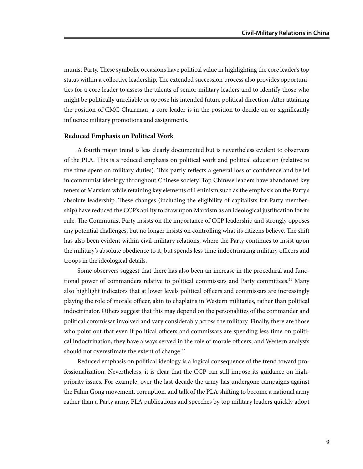munist Party. These symbolic occasions have political value in highlighting the core leader's top status within a collective leadership. The extended succession process also provides opportunities for a core leader to assess the talents of senior military leaders and to identify those who might be politically unreliable or oppose his intended future political direction. After attaining the position of CMC Chairman, a core leader is in the position to decide on or significantly influence military promotions and assignments.

#### **Reduced Emphasis on Political Work**

A fourth major trend is less clearly documented but is nevertheless evident to observers of the PLA. This is a reduced emphasis on political work and political education (relative to the time spent on military duties). This partly reflects a general loss of confidence and belief in communist ideology throughout Chinese society. Top Chinese leaders have abandoned key tenets of Marxism while retaining key elements of Leninism such as the emphasis on the Party's absolute leadership. These changes (including the eligibility of capitalists for Party membership) have reduced the CCP's ability to draw upon Marxism as an ideological justification for its rule. The Communist Party insists on the importance of CCP leadership and strongly opposes any potential challenges, but no longer insists on controlling what its citizens believe. The shift has also been evident within civil-military relations, where the Party continues to insist upon the military's absolute obedience to it, but spends less time indoctrinating military officers and troops in the ideological details.

Some observers suggest that there has also been an increase in the procedural and functional power of commanders relative to political commissars and Party committees.<sup>21</sup> Many also highlight indicators that at lower levels political officers and commissars are increasingly playing the role of morale officer, akin to chaplains in Western militaries, rather than political indoctrinator. Others suggest that this may depend on the personalities of the commander and political commissar involved and vary considerably across the military. Finally, there are those who point out that even if political officers and commissars are spending less time on political indoctrination, they have always served in the role of morale officers, and Western analysts should not overestimate the extent of change.<sup>22</sup>

Reduced emphasis on political ideology is a logical consequence of the trend toward professionalization. Nevertheless, it is clear that the CCP can still impose its guidance on highpriority issues. For example, over the last decade the army has undergone campaigns against the Falun Gong movement, corruption, and talk of the PLA shifting to become a national army rather than a Party army. PLA publications and speeches by top military leaders quickly adopt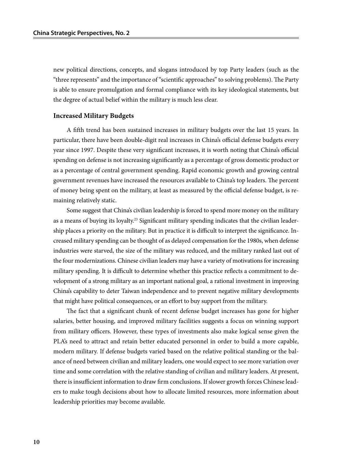new political directions, concepts, and slogans introduced by top Party leaders (such as the "three represents" and the importance of "scientific approaches" to solving problems). The Party is able to ensure promulgation and formal compliance with its key ideological statements, but the degree of actual belief within the military is much less clear.

#### **Increased Military Budgets**

A fifth trend has been sustained increases in military budgets over the last 15 years. In particular, there have been double-digit real increases in China's official defense budgets every year since 1997. Despite these very significant increases, it is worth noting that China's official spending on defense is not increasing significantly as a percentage of gross domestic product or as a percentage of central government spending. Rapid economic growth and growing central government revenues have increased the resources available to China's top leaders. The percent of money being spent on the military, at least as measured by the official defense budget, is remaining relatively static.

Some suggest that China's civilian leadership is forced to spend more money on the military as a means of buying its loyalty.<sup>23</sup> Significant military spending indicates that the civilian leadership places a priority on the military. But in practice it is difficult to interpret the significance. Increased military spending can be thought of as delayed compensation for the 1980s, when defense industries were starved, the size of the military was reduced, and the military ranked last out of the four modernizations. Chinese civilian leaders may have a variety of motivations for increasing military spending. It is difficult to determine whether this practice reflects a commitment to development of a strong military as an important national goal, a rational investment in improving China's capability to deter Taiwan independence and to prevent negative military developments that might have political consequences, or an effort to buy support from the military.

The fact that a significant chunk of recent defense budget increases has gone for higher salaries, better housing, and improved military facilities suggests a focus on winning support from military officers. However, these types of investments also make logical sense given the PLA's need to attract and retain better educated personnel in order to build a more capable, modern military. If defense budgets varied based on the relative political standing or the balance of need between civilian and military leaders, one would expect to see more variation over time and some correlation with the relative standing of civilian and military leaders. At present, there is insufficient information to draw firm conclusions. If slower growth forces Chinese leaders to make tough decisions about how to allocate limited resources, more information about leadership priorities may become available.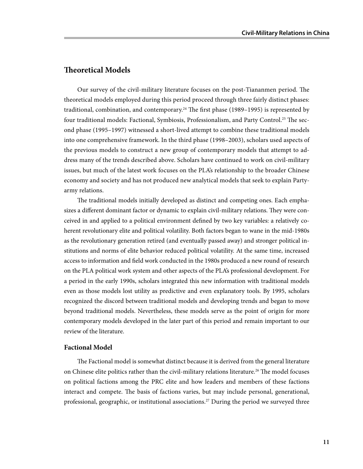#### **Theoretical Models**

Our survey of the civil-military literature focuses on the post-Tiananmen period. The theoretical models employed during this period proceed through three fairly distinct phases: traditional, combination, and contemporary.<sup>24</sup> The first phase (1989–1995) is represented by four traditional models: Factional, Symbiosis, Professionalism, and Party Control.<sup>25</sup> The second phase (1995–1997) witnessed a short-lived attempt to combine these traditional models into one comprehensive framework. In the third phase (1998–2003), scholars used aspects of the previous models to construct a new group of contemporary models that attempt to address many of the trends described above. Scholars have continued to work on civil-military issues, but much of the latest work focuses on the PLA's relationship to the broader Chinese economy and society and has not produced new analytical models that seek to explain Partyarmy relations.

The traditional models initially developed as distinct and competing ones. Each emphasizes a different dominant factor or dynamic to explain civil-military relations. They were conceived in and applied to a political environment defined by two key variables: a relatively coherent revolutionary elite and political volatility. Both factors began to wane in the mid-1980s as the revolutionary generation retired (and eventually passed away) and stronger political institutions and norms of elite behavior reduced political volatility. At the same time, increased access to information and field work conducted in the 1980s produced a new round of research on the PLA political work system and other aspects of the PLA's professional development. For a period in the early 1990s, scholars integrated this new information with traditional models even as those models lost utility as predictive and even explanatory tools. By 1995, scholars recognized the discord between traditional models and developing trends and began to move beyond traditional models. Nevertheless, these models serve as the point of origin for more contemporary models developed in the later part of this period and remain important to our review of the literature.

#### **Factional Model**

The Factional model is somewhat distinct because it is derived from the general literature on Chinese elite politics rather than the civil-military relations literature.<sup>26</sup> The model focuses on political factions among the PRC elite and how leaders and members of these factions interact and compete. The basis of factions varies, but may include personal, generational, professional, geographic, or institutional associations.<sup>27</sup> During the period we surveyed three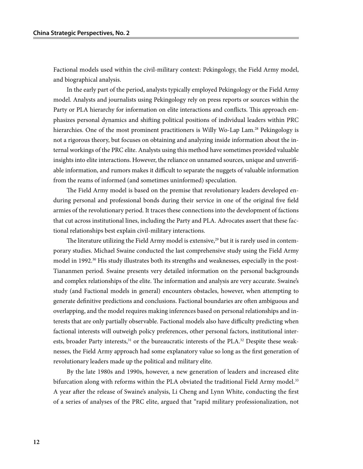Factional models used within the civil-military context: Pekingology, the Field Army model, and biographical analysis.

In the early part of the period, analysts typically employed Pekingology or the Field Army model. Analysts and journalists using Pekingology rely on press reports or sources within the Party or PLA hierarchy for information on elite interactions and conflicts. This approach emphasizes personal dynamics and shifting political positions of individual leaders within PRC hierarchies. One of the most prominent practitioners is Willy Wo-Lap Lam.<sup>28</sup> Pekingology is not a rigorous theory, but focuses on obtaining and analyzing inside information about the internal workings of the PRC elite. Analysts using this method have sometimes provided valuable insights into elite interactions. However, the reliance on unnamed sources, unique and unverifiable information, and rumors makes it difficult to separate the nuggets of valuable information from the reams of informed (and sometimes uninformed) speculation.

The Field Army model is based on the premise that revolutionary leaders developed enduring personal and professional bonds during their service in one of the original five field armies of the revolutionary period. It traces these connections into the development of factions that cut across institutional lines, including the Party and PLA. Advocates assert that these factional relationships best explain civil-military interactions.

The literature utilizing the Field Army model is extensive,<sup>29</sup> but it is rarely used in contemporary studies. Michael Swaine conducted the last comprehensive study using the Field Army model in 1992.<sup>30</sup> His study illustrates both its strengths and weaknesses, especially in the post-Tiananmen period. Swaine presents very detailed information on the personal backgrounds and complex relationships of the elite. The information and analysis are very accurate. Swaine's study (and Factional models in general) encounters obstacles, however, when attempting to generate definitive predictions and conclusions. Factional boundaries are often ambiguous and overlapping, and the model requires making inferences based on personal relationships and interests that are only partially observable. Factional models also have difficulty predicting when factional interests will outweigh policy preferences, other personal factors, institutional interests, broader Party interests, $31$  or the bureaucratic interests of the PLA. $32$  Despite these weaknesses, the Field Army approach had some explanatory value so long as the first generation of revolutionary leaders made up the political and military elite.

By the late 1980s and 1990s, however, a new generation of leaders and increased elite bifurcation along with reforms within the PLA obviated the traditional Field Army model.<sup>33</sup> A year after the release of Swaine's analysis, Li Cheng and Lynn White, conducting the first of a series of analyses of the PRC elite, argued that "rapid military professionalization, not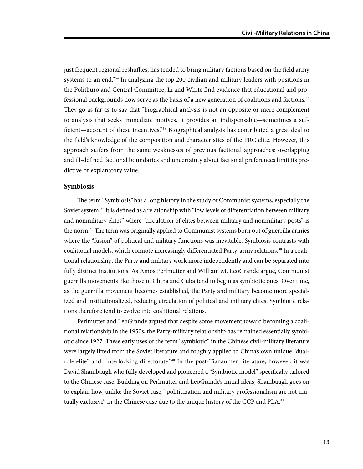just frequent regional reshuffles, has tended to bring military factions based on the field army systems to an end."<sup>34</sup> In analyzing the top 200 civilian and military leaders with positions in the Politburo and Central Committee, Li and White find evidence that educational and professional backgrounds now serve as the basis of a new generation of coalitions and factions.35 They go as far as to say that "biographical analysis is not an opposite or mere complement to analysis that seeks immediate motives. It provides an indispensable—sometimes a sufficient—account of these incentives.<sup>"36</sup> Biographical analysis has contributed a great deal to the field's knowledge of the composition and characteristics of the PRC elite. However, this approach suffers from the same weaknesses of previous factional approaches: overlapping and ill-defined factional boundaries and uncertainty about factional preferences limit its predictive or explanatory value.

#### **Symbiosis**

The term "Symbiosis"has a long history in the study of Communist systems, especially the Soviet system.<sup>37</sup> It is defined as a relationship with "low levels of differentiation between military and nonmilitary elites" where "circulation of elites between military and nonmilitary posts" is the norm.<sup>38</sup> The term was originally applied to Communist systems born out of guerrilla armies where the "fusion" of political and military functions was inevitable. Symbiosis contrasts with coalitional models, which connote increasingly differentiated Party-army relations.<sup>39</sup> In a coalitional relationship, the Party and military work more independently and can be separated into fully distinct institutions. As Amos Perlmutter and William M. LeoGrande argue, Communist guerrilla movements like those of China and Cuba tend to begin as symbiotic ones. Over time, as the guerrilla movement becomes established, the Party and military become more specialized and institutionalized, reducing circulation of political and military elites. Symbiotic relations therefore tend to evolve into coalitional relations.

Perlmutter and LeoGrande argued that despite some movement toward becoming a coalitional relationship in the 1950s, the Party-military relationship has remained essentially symbiotic since 1927. These early uses of the term "symbiotic" in the Chinese civil-military literature were largely lifted from the Soviet literature and roughly applied to China's own unique "dualrole elite" and "interlocking directorate."<sup>40</sup> In the post-Tiananmen literature, however, it was David Shambaugh who fully developed and pioneered a "Symbiotic model" specifically tailored to the Chinese case. Building on Perlmutter and LeoGrande's initial ideas, Shambaugh goes on to explain how, unlike the Soviet case, "politicization and military professionalism are not mutually exclusive" in the Chinese case due to the unique history of the CCP and PLA.<sup>41</sup>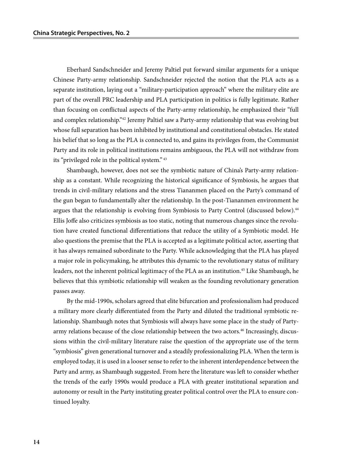Eberhard Sandschneider and Jeremy Paltiel put forward similar arguments for a unique Chinese Party-army relationship. Sandschneider rejected the notion that the PLA acts as a separate institution, laying out a "military-participation approach" where the military elite are part of the overall PRC leadership and PLA participation in politics is fully legitimate. Rather than focusing on conflictual aspects of the Party-army relationship, he emphasized their "full and complex relationship."42 Jeremy Paltiel saw a Party-army relationship that was evolving but whose full separation has been inhibited by institutional and constitutional obstacles. He stated his belief that so long as the PLA is connected to, and gains its privileges from, the Communist Party and its role in political institutions remains ambiguous, the PLA will not withdraw from its "privileged role in the political system." 43

Shambaugh, however, does not see the symbiotic nature of China's Party-army relationship as a constant. While recognizing the historical significance of Symbiosis, he argues that trends in civil-military relations and the stress Tiananmen placed on the Party's command of the gun began to fundamentally alter the relationship. In the post-Tiananmen environment he argues that the relationship is evolving from Symbiosis to Party Control (discussed below).<sup>44</sup> Ellis Joffe also criticizes symbiosis as too static, noting that numerous changes since the revolution have created functional differentiations that reduce the utility of a Symbiotic model. He also questions the premise that the PLA is accepted as a legitimate political actor, asserting that it has always remained subordinate to the Party. While acknowledging that the PLA has played a major role in policymaking, he attributes this dynamic to the revolutionary status of military leaders, not the inherent political legitimacy of the PLA as an institution.<sup>45</sup> Like Shambaugh, he believes that this symbiotic relationship will weaken as the founding revolutionary generation passes away.

By the mid-1990s, scholars agreed that elite bifurcation and professionalism had produced a military more clearly differentiated from the Party and diluted the traditional symbiotic relationship. Shambaugh notes that Symbiosis will always have some place in the study of Partyarmy relations because of the close relationship between the two actors.<sup>46</sup> Increasingly, discussions within the civil-military literature raise the question of the appropriate use of the term "symbiosis" given generational turnover and a steadily professionalizing PLA. When the term is employed today, it is used in a looser sense to refer to the inherent interdependence between the Party and army, as Shambaugh suggested. From here the literature was left to consider whether the trends of the early 1990s would produce a PLA with greater institutional separation and autonomy or result in the Party instituting greater political control over the PLA to ensure continued loyalty.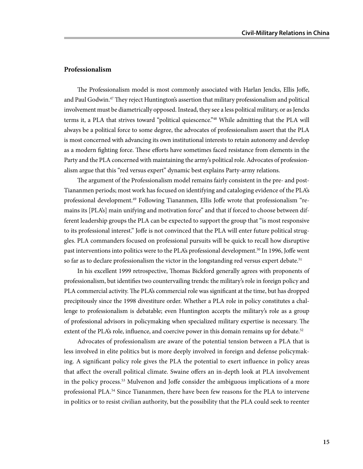#### **Professionalism**

The Professionalism model is most commonly associated with Harlan Jencks, Ellis Joffe, and Paul Godwin.47 They reject Huntington's assertion that military professionalism and political involvement must be diametrically opposed. Instead, they see a less political military, or as Jencks terms it, a PLA that strives toward "political quiescence."<sup>48</sup> While admitting that the PLA will always be a political force to some degree, the advocates of professionalism assert that the PLA is most concerned with advancing its own institutional interests to retain autonomy and develop as a modern fighting force. These efforts have sometimes faced resistance from elements in the Party and the PLA concerned with maintaining the army's political role. Advocates of professionalism argue that this "red versus expert" dynamic best explains Party-army relations.

The argument of the Professionalism model remains fairly consistent in the pre- and post-Tiananmen periods; most work has focused on identifying and cataloging evidence of the PLA's professional development.<sup>49</sup> Following Tiananmen, Ellis Joffe wrote that professionalism "remains its [PLA's] main unifying and motivation force" and that if forced to choose between different leadership groups the PLA can be expected to support the group that "is most responsive to its professional interest." Joffe is not convinced that the PLA will enter future political struggles. PLA commanders focused on professional pursuits will be quick to recall how disruptive past interventions into politics were to the PLA's professional development.<sup>50</sup> In 1996, Joffe went so far as to declare professionalism the victor in the longstanding red versus expert debate.<sup>51</sup>

In his excellent 1999 retrospective, Thomas Bickford generally agrees with proponents of professionalism, but identifies two countervailing trends: the military's role in foreign policy and PLA commercial activity. The PLA's commercial role was significant at the time, but has dropped precipitously since the 1998 divestiture order. Whether a PLA role in policy constitutes a challenge to professionalism is debatable; even Huntington accepts the military's role as a group of professional advisors in policymaking when specialized military expertise is necessary. The extent of the PLA's role, influence, and coercive power in this domain remains up for debate.<sup>52</sup>

Advocates of professionalism are aware of the potential tension between a PLA that is less involved in elite politics but is more deeply involved in foreign and defense policymaking. A significant policy role gives the PLA the potential to exert influence in policy areas that affect the overall political climate. Swaine offers an in-depth look at PLA involvement in the policy process.53 Mulvenon and Joffe consider the ambiguous implications of a more professional PLA.54 Since Tiananmen, there have been few reasons for the PLA to intervene in politics or to resist civilian authority, but the possibility that the PLA could seek to reenter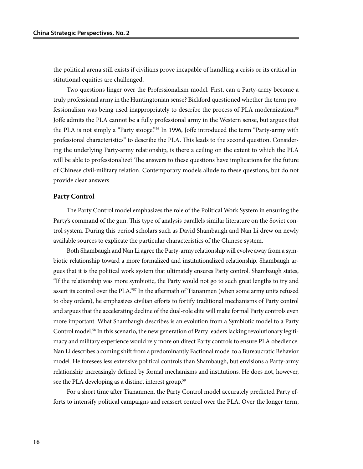the political arena still exists if civilians prove incapable of handling a crisis or its critical institutional equities are challenged.

Two questions linger over the Professionalism model. First, can a Party-army become a truly professional army in the Huntingtonian sense? Bickford questioned whether the term professionalism was being used inappropriately to describe the process of PLA modernization.55 Joffe admits the PLA cannot be a fully professional army in the Western sense, but argues that the PLA is not simply a "Party stooge."56 In 1996, Joffe introduced the term "Party-army with professional characteristics" to describe the PLA. This leads to the second question. Considering the underlying Party-army relationship, is there a ceiling on the extent to which the PLA will be able to professionalize? The answers to these questions have implications for the future of Chinese civil-military relation. Contemporary models allude to these questions, but do not provide clear answers.

#### **Party Control**

The Party Control model emphasizes the role of the Political Work System in ensuring the Party's command of the gun. This type of analysis parallels similar literature on the Soviet control system. During this period scholars such as David Shambaugh and Nan Li drew on newly available sources to explicate the particular characteristics of the Chinese system.

Both Shambaugh and Nan Li agree the Party-army relationship will evolve away from a symbiotic relationship toward a more formalized and institutionalized relationship. Shambaugh argues that it is the political work system that ultimately ensures Party control. Shambaugh states, "If the relationship was more symbiotic, the Party would not go to such great lengths to try and assert its control over the PLA."57 In the aftermath of Tiananmen (when some army units refused to obey orders), he emphasizes civilian efforts to fortify traditional mechanisms of Party control and argues that the accelerating decline of the dual-role elite will make formal Party controls even more important. What Shambaugh describes is an evolution from a Symbiotic model to a Party Control model.<sup>58</sup> In this scenario, the new generation of Party leaders lacking revolutionary legitimacy and military experience would rely more on direct Party controls to ensure PLA obedience. Nan Li describes a coming shift from a predominantly Factional model to a Bureaucratic Behavior model. He foresees less extensive political controls than Shambaugh, but envisions a Party-army relationship increasingly defined by formal mechanisms and institutions. He does not, however, see the PLA developing as a distinct interest group.<sup>59</sup>

For a short time after Tiananmen, the Party Control model accurately predicted Party efforts to intensify political campaigns and reassert control over the PLA. Over the longer term,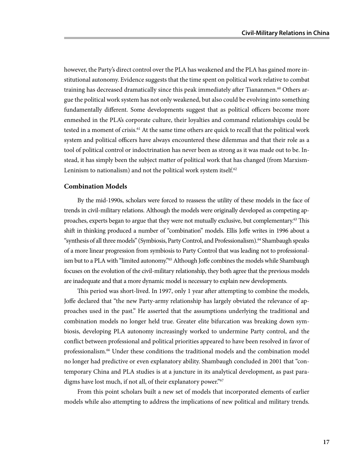however, the Party's direct control over the PLA has weakened and the PLA has gained more institutional autonomy. Evidence suggests that the time spent on political work relative to combat training has decreased dramatically since this peak immediately after Tiananmen.<sup>60</sup> Others argue the political work system has not only weakened, but also could be evolving into something fundamentally different. Some developments suggest that as political officers become more enmeshed in the PLA's corporate culture, their loyalties and command relationships could be tested in a moment of crisis.<sup>61</sup> At the same time others are quick to recall that the political work system and political officers have always encountered these dilemmas and that their role as a tool of political control or indoctrination has never been as strong as it was made out to be. Instead, it has simply been the subject matter of political work that has changed (from Marxism-Leninism to nationalism) and not the political work system itself. $62$ 

#### **Combination Models**

By the mid-1990s, scholars were forced to reassess the utility of these models in the face of trends in civil-military relations. Although the models were originally developed as competing approaches, experts began to argue that they were not mutually exclusive, but complementary.63 This shift in thinking produced a number of "combination" models. Ellis Joffe writes in 1996 about a "synthesis of all three models" (Symbiosis, Party Control, and Professionalism).<sup>64</sup> Shambaugh speaks of a more linear progression from symbiosis to Party Control that was leading not to professionalism but to a PLA with "limited autonomy."<sup>65</sup> Although Joffe combines the models while Shambaugh focuses on the evolution of the civil-military relationship, they both agree that the previous models are inadequate and that a more dynamic model is necessary to explain new developments.

This period was short-lived. In 1997, only 1 year after attempting to combine the models, Joffe declared that "the new Party-army relationship has largely obviated the relevance of approaches used in the past." He asserted that the assumptions underlying the traditional and combination models no longer held true. Greater elite bifurcation was breaking down symbiosis, developing PLA autonomy increasingly worked to undermine Party control, and the conflict between professional and political priorities appeared to have been resolved in favor of professionalism.66 Under these conditions the traditional models and the combination model no longer had predictive or even explanatory ability. Shambaugh concluded in 2001 that "contemporary China and PLA studies is at a juncture in its analytical development, as past paradigms have lost much, if not all, of their explanatory power."<sup>67</sup>

From this point scholars built a new set of models that incorporated elements of earlier models while also attempting to address the implications of new political and military trends.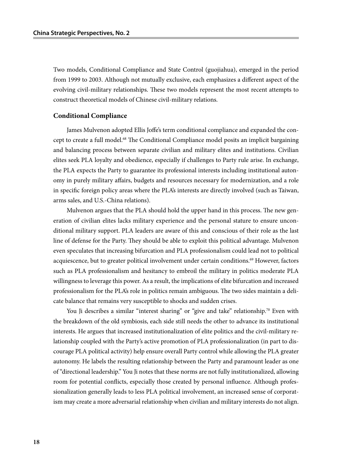Two models, Conditional Compliance and State Control (guojiahua), emerged in the period from 1999 to 2003. Although not mutually exclusive, each emphasizes a different aspect of the evolving civil-military relationships. These two models represent the most recent attempts to construct theoretical models of Chinese civil-military relations.

#### **Conditional Compliance**

James Mulvenon adopted Ellis Joffe's term conditional compliance and expanded the concept to create a full model.<sup>68</sup> The Conditional Compliance model posits an implicit bargaining and balancing process between separate civilian and military elites and institutions. Civilian elites seek PLA loyalty and obedience, especially if challenges to Party rule arise. In exchange, the PLA expects the Party to guarantee its professional interests including institutional autonomy in purely military affairs, budgets and resources necessary for modernization, and a role in specific foreign policy areas where the PLA's interests are directly involved (such as Taiwan, arms sales, and U.S.-China relations).

Mulvenon argues that the PLA should hold the upper hand in this process. The new generation of civilian elites lacks military experience and the personal stature to ensure unconditional military support. PLA leaders are aware of this and conscious of their role as the last line of defense for the Party. They should be able to exploit this political advantage. Mulvenon even speculates that increasing bifurcation and PLA professionalism could lead not to political acquiescence, but to greater political involvement under certain conditions.<sup>69</sup> However, factors such as PLA professionalism and hesitancy to embroil the military in politics moderate PLA willingness to leverage this power. As a result, the implications of elite bifurcation and increased professionalism for the PLA's role in politics remain ambiguous. The two sides maintain a delicate balance that remains very susceptible to shocks and sudden crises.

You Ji describes a similar "interest sharing" or "give and take" relationship.<sup>70</sup> Even with the breakdown of the old symbiosis, each side still needs the other to advance its institutional interests. He argues that increased institutionalization of elite politics and the civil-military relationship coupled with the Party's active promotion of PLA professionalization (in part to discourage PLA political activity) help ensure overall Party control while allowing the PLA greater autonomy. He labels the resulting relationship between the Party and paramount leader as one of "directional leadership." You Ji notes that these norms are not fully institutionalized, allowing room for potential conflicts, especially those created by personal influence. Although professionalization generally leads to less PLA political involvement, an increased sense of corporatism may create a more adversarial relationship when civilian and military interests do not align.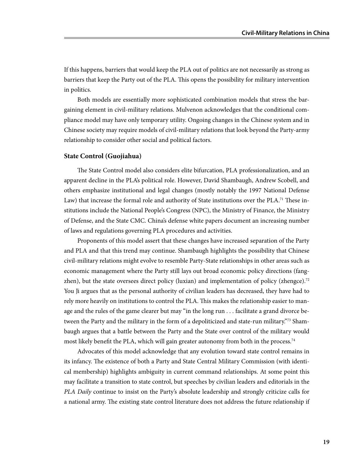If this happens, barriers that would keep the PLA out of politics are not necessarily as strong as barriers that keep the Party out of the PLA. This opens the possibility for military intervention in politics.

Both models are essentially more sophisticated combination models that stress the bargaining element in civil-military relations. Mulvenon acknowledges that the conditional compliance model may have only temporary utility. Ongoing changes in the Chinese system and in Chinese society may require models of civil-military relations that look beyond the Party-army relationship to consider other social and political factors.

#### **State Control (Guojiahua)**

The State Control model also considers elite bifurcation, PLA professionalization, and an apparent decline in the PLA's political role. However, David Shambaugh, Andrew Scobell, and others emphasize institutional and legal changes (mostly notably the 1997 National Defense Law) that increase the formal role and authority of State institutions over the PLA.<sup>71</sup> These institutions include the National People's Congress (NPC), the Ministry of Finance, the Ministry of Defense, and the State CMC. China's defense white papers document an increasing number of laws and regulations governing PLA procedures and activities.

Proponents of this model assert that these changes have increased separation of the Party and PLA and that this trend may continue. Shambaugh highlights the possibility that Chinese civil-military relations might evolve to resemble Party-State relationships in other areas such as economic management where the Party still lays out broad economic policy directions (fangzhen), but the state oversees direct policy (luxian) and implementation of policy (zhengce).<sup>72</sup> You Ji argues that as the personal authority of civilian leaders has decreased, they have had to rely more heavily on institutions to control the PLA. This makes the relationship easier to manage and the rules of the game clearer but may "in the long run . . . facilitate a grand divorce between the Party and the military in the form of a depoliticized and state-run military.<sup>"73</sup> Shambaugh argues that a battle between the Party and the State over control of the military would most likely benefit the PLA, which will gain greater autonomy from both in the process.<sup>74</sup>

Advocates of this model acknowledge that any evolution toward state control remains in its infancy. The existence of both a Party and State Central Military Commission (with identical membership) highlights ambiguity in current command relationships. At some point this may facilitate a transition to state control, but speeches by civilian leaders and editorials in the *PLA Daily* continue to insist on the Party's absolute leadership and strongly criticize calls for a national army. The existing state control literature does not address the future relationship if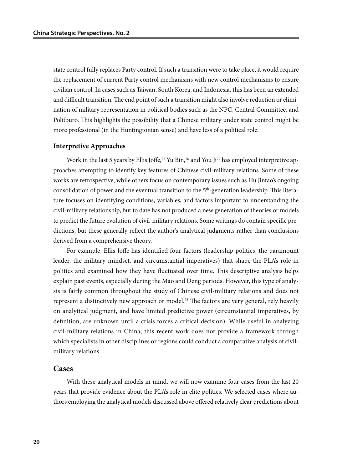state control fully replaces Party control. If such a transition were to take place, it would require the replacement of current Party control mechanisms with new control mechanisms to ensure civilian control. In cases such as Taiwan, South Korea, and Indonesia, this has been an extended and difficult transition. The end point of such a transition might also involve reduction or elimination of military representation in political bodies such as the NPC, Central Committee, and Politburo. This highlights the possibility that a Chinese military under state control might be more professional (in the Huntingtonian sense) and have less of a political role.

#### **Interpretive Approaches**

Work in the last 5 years by Ellis Joffe,<sup>75</sup> Yu Bin,<sup>76</sup> and You Ji<sup>77</sup> has employed interpretive approaches attempting to identify key features of Chinese civil-military relations. Some of these works are retrospective, while others focus on contemporary issues such as Hu Jintao's ongoing consolidation of power and the eventual transition to the  $5<sup>th</sup>$ -generation leadership. This literature focuses on identifying conditions, variables, and factors important to understanding the civil-military relationship, but to date has not produced a new generation of theories or models to predict the future evolution of civil-military relations. Some writings do contain specific predictions, but these generally reflect the author's analytical judgments rather than conclusions derived from a comprehensive theory.

For example, Ellis Joffe has identified four factors (leadership politics, the paramount leader, the military mindset, and circumstantial imperatives) that shape the PLA's role in politics and examined how they have fluctuated over time. This descriptive analysis helps explain past events, especially during the Mao and Deng periods. However, this type of analysis is fairly common throughout the study of Chinese civil-military relations and does not represent a distinctively new approach or model.78 The factors are very general, rely heavily on analytical judgment, and have limited predictive power (circumstantial imperatives, by definition, are unknown until a crisis forces a critical decision). While useful in analyzing civil-military relations in China, this recent work does not provide a framework through which specialists in other disciplines or regions could conduct a comparative analysis of civilmilitary relations.

#### **Cases**

With these analytical models in mind, we will now examine four cases from the last 20 years that provide evidence about the PLA's role in elite politics. We selected cases where authors employing the analytical models discussed above offered relatively clear predictions about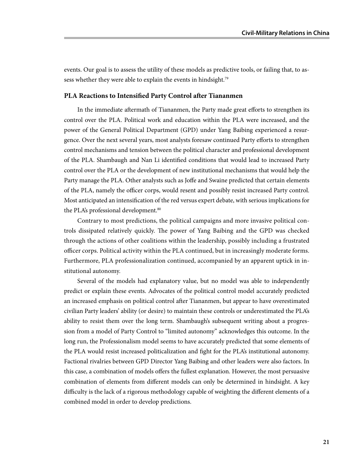events. Our goal is to assess the utility of these models as predictive tools, or failing that, to assess whether they were able to explain the events in hindsight.<sup>79</sup>

#### **PLA Reactions to Intensified Party Control after Tiananmen**

In the immediate aftermath of Tiananmen, the Party made great efforts to strengthen its control over the PLA. Political work and education within the PLA were increased, and the power of the General Political Department (GPD) under Yang Baibing experienced a resurgence. Over the next several years, most analysts foresaw continued Party efforts to strengthen control mechanisms and tension between the political character and professional development of the PLA. Shambaugh and Nan Li identified conditions that would lead to increased Party control over the PLA or the development of new institutional mechanisms that would help the Party manage the PLA. Other analysts such as Joffe and Swaine predicted that certain elements of the PLA, namely the officer corps, would resent and possibly resist increased Party control. Most anticipated an intensification of the red versus expert debate, with serious implications for the PLA's professional development.<sup>80</sup>

Contrary to most predictions, the political campaigns and more invasive political controls dissipated relatively quickly. The power of Yang Baibing and the GPD was checked through the actions of other coalitions within the leadership, possibly including a frustrated officer corps. Political activity within the PLA continued, but in increasingly moderate forms. Furthermore, PLA professionalization continued, accompanied by an apparent uptick in institutional autonomy.

Several of the models had explanatory value, but no model was able to independently predict or explain these events. Advocates of the political control model accurately predicted an increased emphasis on political control after Tiananmen, but appear to have overestimated civilian Party leaders' ability (or desire) to maintain these controls or underestimated the PLA's ability to resist them over the long term. Shambaugh's subsequent writing about a progression from a model of Party Control to "limited autonomy" acknowledges this outcome. In the long run, the Professionalism model seems to have accurately predicted that some elements of the PLA would resist increased politicalization and fight for the PLA's institutional autonomy. Factional rivalries between GPD Director Yang Baibing and other leaders were also factors. In this case, a combination of models offers the fullest explanation. However, the most persuasive combination of elements from different models can only be determined in hindsight. A key difficulty is the lack of a rigorous methodology capable of weighting the different elements of a combined model in order to develop predictions.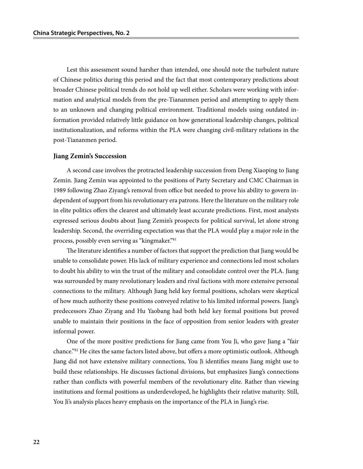Lest this assessment sound harsher than intended, one should note the turbulent nature of Chinese politics during this period and the fact that most contemporary predictions about broader Chinese political trends do not hold up well either. Scholars were working with information and analytical models from the pre-Tiananmen period and attempting to apply them to an unknown and changing political environment. Traditional models using outdated information provided relatively little guidance on how generational leadership changes, political institutionalization, and reforms within the PLA were changing civil-military relations in the post-Tiananmen period.

#### **Jiang Zemin's Succession**

A second case involves the protracted leadership succession from Deng Xiaoping to Jiang Zemin. Jiang Zemin was appointed to the positions of Party Secretary and CMC Chairman in 1989 following Zhao Ziyang's removal from office but needed to prove his ability to govern independent of support from his revolutionary era patrons. Here the literature on the military role in elite politics offers the clearest and ultimately least accurate predictions. First, most analysts expressed serious doubts about Jiang Zemin's prospects for political survival, let alone strong leadership. Second, the overriding expectation was that the PLA would play a major role in the process, possibly even serving as "kingmaker."81

The literature identifies a number of factors that support the prediction that Jiang would be unable to consolidate power. His lack of military experience and connections led most scholars to doubt his ability to win the trust of the military and consolidate control over the PLA. Jiang was surrounded by many revolutionary leaders and rival factions with more extensive personal connections to the military. Although Jiang held key formal positions, scholars were skeptical of how much authority these positions conveyed relative to his limited informal powers. Jiang's predecessors Zhao Ziyang and Hu Yaobang had both held key formal positions but proved unable to maintain their positions in the face of opposition from senior leaders with greater informal power.

One of the more positive predictions for Jiang came from You Ji, who gave Jiang a "fair chance."82 He cites the same factors listed above, but offers a more optimistic outlook. Although Jiang did not have extensive military connections, You Ji identifies means Jiang might use to build these relationships. He discusses factional divisions, but emphasizes Jiang's connections rather than conflicts with powerful members of the revolutionary elite. Rather than viewing institutions and formal positions as underdeveloped, he highlights their relative maturity. Still, You Ji's analysis places heavy emphasis on the importance of the PLA in Jiang's rise.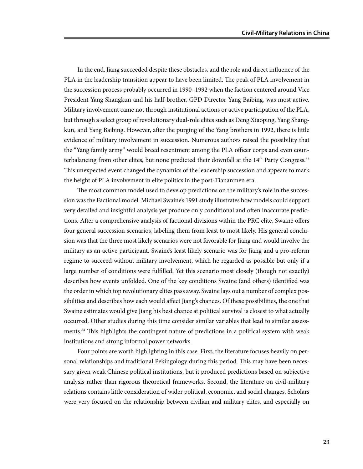In the end, Jiang succeeded despite these obstacles, and the role and direct influence of the PLA in the leadership transition appear to have been limited. The peak of PLA involvement in the succession process probably occurred in 1990–1992 when the faction centered around Vice President Yang Shangkun and his half-brother, GPD Director Yang Baibing, was most active. Military involvement came not through institutional actions or active participation of the PLA, but through a select group of revolutionary dual-role elites such as Deng Xiaoping, Yang Shangkun, and Yang Baibing. However, after the purging of the Yang brothers in 1992, there is little evidence of military involvement in succession. Numerous authors raised the possibility that the "Yang family army" would breed resentment among the PLA officer corps and even counterbalancing from other elites, but none predicted their downfall at the  $14<sup>th</sup>$  Party Congress.<sup>83</sup> This unexpected event changed the dynamics of the leadership succession and appears to mark the height of PLA involvement in elite politics in the post-Tiananmen era.

The most common model used to develop predictions on the military's role in the succession was the Factional model. Michael Swaine's 1991 study illustrates how models could support very detailed and insightful analysis yet produce only conditional and often inaccurate predictions. After a comprehensive analysis of factional divisions within the PRC elite, Swaine offers four general succession scenarios, labeling them from least to most likely. His general conclusion was that the three most likely scenarios were not favorable for Jiang and would involve the military as an active participant. Swaine's least likely scenario was for Jiang and a pro-reform regime to succeed without military involvement, which he regarded as possible but only if a large number of conditions were fulfilled. Yet this scenario most closely (though not exactly) describes how events unfolded. One of the key conditions Swaine (and others) identified was the order in which top revolutionary elites pass away. Swaine lays out a number of complex possibilities and describes how each would affect Jiang's chances. Of these possibilities, the one that Swaine estimates would give Jiang his best chance at political survival is closest to what actually occurred. Other studies during this time consider similar variables that lead to similar assessments.84 This highlights the contingent nature of predictions in a political system with weak institutions and strong informal power networks.

Four points are worth highlighting in this case. First, the literature focuses heavily on personal relationships and traditional Pekingology during this period. This may have been necessary given weak Chinese political institutions, but it produced predictions based on subjective analysis rather than rigorous theoretical frameworks. Second, the literature on civil-military relations contains little consideration of wider political, economic, and social changes. Scholars were very focused on the relationship between civilian and military elites, and especially on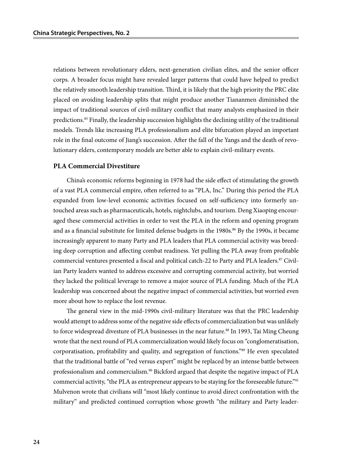relations between revolutionary elders, next-generation civilian elites, and the senior officer corps. A broader focus might have revealed larger patterns that could have helped to predict the relatively smooth leadership transition. Third, it is likely that the high priority the PRC elite placed on avoiding leadership splits that might produce another Tiananmen diminished the impact of traditional sources of civil-military conflict that many analysts emphasized in their predictions.85 Finally, the leadership succession highlights the declining utility of the traditional models. Trends like increasing PLA professionalism and elite bifurcation played an important role in the final outcome of Jiang's succession. After the fall of the Yangs and the death of revolutionary elders, contemporary models are better able to explain civil-military events.

#### **PLA Commercial Divestiture**

China's economic reforms beginning in 1978 had the side effect of stimulating the growth of a vast PLA commercial empire, often referred to as "PLA, Inc." During this period the PLA expanded from low-level economic activities focused on self-sufficiency into formerly untouched areas such as pharmaceuticals, hotels, nightclubs, and tourism. Deng Xiaoping encouraged these commercial activities in order to vest the PLA in the reform and opening program and as a financial substitute for limited defense budgets in the 1980s.<sup>86</sup> By the 1990s, it became increasingly apparent to many Party and PLA leaders that PLA commercial activity was breeding deep corruption and affecting combat readiness. Yet pulling the PLA away from profitable commercial ventures presented a fiscal and political catch-22 to Party and PLA leaders.87 Civilian Party leaders wanted to address excessive and corrupting commercial activity, but worried they lacked the political leverage to remove a major source of PLA funding. Much of the PLA leadership was concerned about the negative impact of commercial activities, but worried even more about how to replace the lost revenue.

The general view in the mid-1990s civil-military literature was that the PRC leadership would attempt to address some of the negative side effects of commercialization but was unlikely to force widespread divesture of PLA businesses in the near future.<sup>88</sup> In 1993, Tai Ming Cheung wrote that the next round of PLA commercialization would likely focus on "conglomeratisation, corporatisation, profitability and quality, and segregation of functions."89 He even speculated that the traditional battle of "red versus expert" might be replaced by an intense battle between professionalism and commercialism.<sup>90</sup> Bickford argued that despite the negative impact of PLA commercial activity, "the PLA as entrepreneur appears to be staying for the foreseeable future."<sup>91</sup> Mulvenon wrote that civilians will "most likely continue to avoid direct confrontation with the military" and predicted continued corruption whose growth "the military and Party leader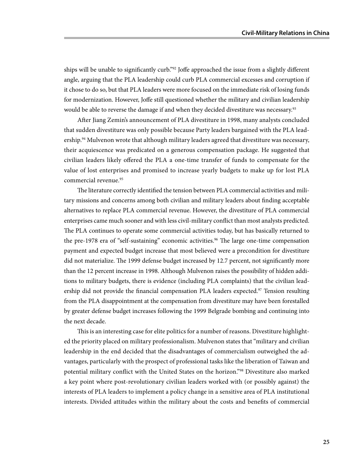ships will be unable to significantly curb."<sup>92</sup> Joffe approached the issue from a slightly different angle, arguing that the PLA leadership could curb PLA commercial excesses and corruption if it chose to do so, but that PLA leaders were more focused on the immediate risk of losing funds for modernization. However, Joffe still questioned whether the military and civilian leadership would be able to reverse the damage if and when they decided divestiture was necessary.<sup>93</sup>

After Jiang Zemin's announcement of PLA divestiture in 1998, many analysts concluded that sudden divestiture was only possible because Party leaders bargained with the PLA leadership.<sup>94</sup> Mulvenon wrote that although military leaders agreed that divestiture was necessary, their acquiescence was predicated on a generous compensation package. He suggested that civilian leaders likely offered the PLA a one-time transfer of funds to compensate for the value of lost enterprises and promised to increase yearly budgets to make up for lost PLA commercial revenue.<sup>95</sup>

The literature correctly identified the tension between PLA commercial activities and military missions and concerns among both civilian and military leaders about finding acceptable alternatives to replace PLA commercial revenue. However, the divestiture of PLA commercial enterprises came much sooner and with less civil-military conflict than most analysts predicted. The PLA continues to operate some commercial activities today, but has basically returned to the pre-1978 era of "self-sustaining" economic activities.<sup>96</sup> The large one-time compensation payment and expected budget increase that most believed were a precondition for divestiture did not materialize. The 1999 defense budget increased by 12.7 percent, not significantly more than the 12 percent increase in 1998. Although Mulvenon raises the possibility of hidden additions to military budgets, there is evidence (including PLA complaints) that the civilian leadership did not provide the financial compensation PLA leaders expected.<sup>97</sup> Tension resulting from the PLA disappointment at the compensation from divestiture may have been forestalled by greater defense budget increases following the 1999 Belgrade bombing and continuing into the next decade.

This is an interesting case for elite politics for a number of reasons. Divestiture highlighted the priority placed on military professionalism. Mulvenon states that "military and civilian leadership in the end decided that the disadvantages of commercialism outweighed the advantages, particularly with the prospect of professional tasks like the liberation of Taiwan and potential military conflict with the United States on the horizon."98 Divestiture also marked a key point where post-revolutionary civilian leaders worked with (or possibly against) the interests of PLA leaders to implement a policy change in a sensitive area of PLA institutional interests. Divided attitudes within the military about the costs and benefits of commercial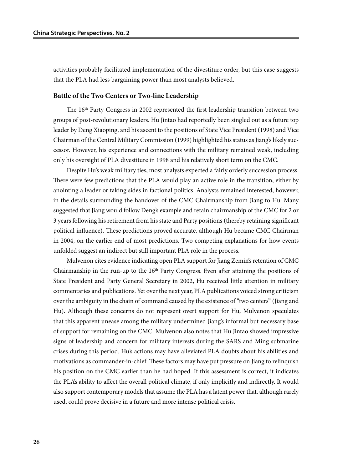activities probably facilitated implementation of the divestiture order, but this case suggests that the PLA had less bargaining power than most analysts believed.

#### **Battle of the Two Centers or Two-line Leadership**

The 16th Party Congress in 2002 represented the first leadership transition between two groups of post-revolutionary leaders. Hu Jintao had reportedly been singled out as a future top leader by Deng Xiaoping, and his ascent to the positions of State Vice President (1998) and Vice Chairman of the Central Military Commission (1999) highlighted his status as Jiang's likely successor. However, his experience and connections with the military remained weak, including only his oversight of PLA divestiture in 1998 and his relatively short term on the CMC.

Despite Hu's weak military ties, most analysts expected a fairly orderly succession process. There were few predictions that the PLA would play an active role in the transition, either by anointing a leader or taking sides in factional politics. Analysts remained interested, however, in the details surrounding the handover of the CMC Chairmanship from Jiang to Hu. Many suggested that Jiang would follow Deng's example and retain chairmanship of the CMC for 2 or 3 years following his retirement from his state and Party positions (thereby retaining significant political influence). These predictions proved accurate, although Hu became CMC Chairman in 2004, on the earlier end of most predictions. Two competing explanations for how events unfolded suggest an indirect but still important PLA role in the process.

Mulvenon cites evidence indicating open PLA support for Jiang Zemin's retention of CMC Chairmanship in the run-up to the  $16<sup>th</sup>$  Party Congress. Even after attaining the positions of State President and Party General Secretary in 2002, Hu received little attention in military commentaries and publications. Yet over the next year, PLA publications voiced strong criticism over the ambiguity in the chain of command caused by the existence of "two centers" (Jiang and Hu). Although these concerns do not represent overt support for Hu, Mulvenon speculates that this apparent unease among the military undermined Jiang's informal but necessary base of support for remaining on the CMC. Mulvenon also notes that Hu Jintao showed impressive signs of leadership and concern for military interests during the SARS and Ming submarine crises during this period. Hu's actions may have alleviated PLA doubts about his abilities and motivations as commander-in-chief. These factors may have put pressure on Jiang to relinquish his position on the CMC earlier than he had hoped. If this assessment is correct, it indicates the PLA's ability to affect the overall political climate, if only implicitly and indirectly. It would also support contemporary models that assume the PLA has a latent power that, although rarely used, could prove decisive in a future and more intense political crisis.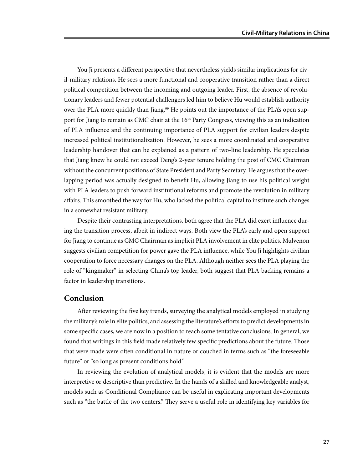You Ji presents a different perspective that nevertheless yields similar implications for civil-military relations. He sees a more functional and cooperative transition rather than a direct political competition between the incoming and outgoing leader. First, the absence of revolutionary leaders and fewer potential challengers led him to believe Hu would establish authority over the PLA more quickly than Jiang.<sup>99</sup> He points out the importance of the PLA's open support for Jiang to remain as CMC chair at the 16<sup>th</sup> Party Congress, viewing this as an indication of PLA influence and the continuing importance of PLA support for civilian leaders despite increased political institutionalization. However, he sees a more coordinated and cooperative leadership handover that can be explained as a pattern of two-line leadership. He speculates that Jiang knew he could not exceed Deng's 2-year tenure holding the post of CMC Chairman without the concurrent positions of State President and Party Secretary. He argues that the overlapping period was actually designed to benefit Hu, allowing Jiang to use his political weight with PLA leaders to push forward institutional reforms and promote the revolution in military affairs. This smoothed the way for Hu, who lacked the political capital to institute such changes in a somewhat resistant military.

Despite their contrasting interpretations, both agree that the PLA did exert influence during the transition process, albeit in indirect ways. Both view the PLA's early and open support for Jiang to continue as CMC Chairman as implicit PLA involvement in elite politics. Mulvenon suggests civilian competition for power gave the PLA influence, while You Ji highlights civilian cooperation to force necessary changes on the PLA. Although neither sees the PLA playing the role of "kingmaker" in selecting China's top leader, both suggest that PLA backing remains a factor in leadership transitions.

#### **Conclusion**

After reviewing the five key trends, surveying the analytical models employed in studying the military's role in elite politics, and assessing the literature's efforts to predict developments in some specific cases, we are now in a position to reach some tentative conclusions. In general, we found that writings in this field made relatively few specific predictions about the future. Those that were made were often conditional in nature or couched in terms such as "the foreseeable future" or "so long as present conditions hold."

In reviewing the evolution of analytical models, it is evident that the models are more interpretive or descriptive than predictive. In the hands of a skilled and knowledgeable analyst, models such as Conditional Compliance can be useful in explicating important developments such as "the battle of the two centers." They serve a useful role in identifying key variables for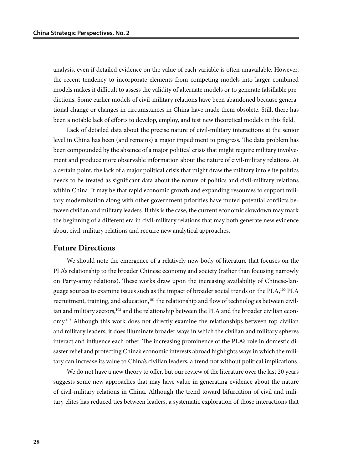analysis, even if detailed evidence on the value of each variable is often unavailable. However, the recent tendency to incorporate elements from competing models into larger combined models makes it difficult to assess the validity of alternate models or to generate falsifiable predictions. Some earlier models of civil-military relations have been abandoned because generational change or changes in circumstances in China have made them obsolete. Still, there has been a notable lack of efforts to develop, employ, and test new theoretical models in this field.

Lack of detailed data about the precise nature of civil-military interactions at the senior level in China has been (and remains) a major impediment to progress. The data problem has been compounded by the absence of a major political crisis that might require military involvement and produce more observable information about the nature of civil-military relations. At a certain point, the lack of a major political crisis that might draw the military into elite politics needs to be treated as significant data about the nature of politics and civil-military relations within China. It may be that rapid economic growth and expanding resources to support military modernization along with other government priorities have muted potential conflicts between civilian and military leaders. If this is the case, the current economic slowdown may mark the beginning of a different era in civil-military relations that may both generate new evidence about civil-military relations and require new analytical approaches.

#### **Future Directions**

We should note the emergence of a relatively new body of literature that focuses on the PLA's relationship to the broader Chinese economy and society (rather than focusing narrowly on Party-army relations). These works draw upon the increasing availability of Chinese-language sources to examine issues such as the impact of broader social trends on the PLA,<sup>100</sup> PLA recruitment, training, and education, $101$  the relationship and flow of technologies between civilian and military sectors, $102$  and the relationship between the PLA and the broader civilian economy.<sup>103</sup> Although this work does not directly examine the relationships between top civilian and military leaders, it does illuminate broader ways in which the civilian and military spheres interact and influence each other. The increasing prominence of the PLA's role in domestic disaster relief and protecting China's economic interests abroad highlights ways in which the military can increase its value to China's civilian leaders, a trend not without political implications.

We do not have a new theory to offer, but our review of the literature over the last 20 years suggests some new approaches that may have value in generating evidence about the nature of civil-military relations in China. Although the trend toward bifurcation of civil and military elites has reduced ties between leaders, a systematic exploration of those interactions that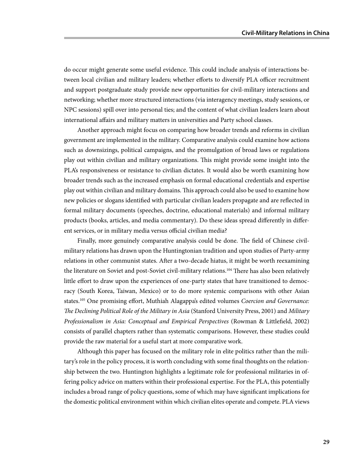do occur might generate some useful evidence. This could include analysis of interactions between local civilian and military leaders; whether efforts to diversify PLA officer recruitment and support postgraduate study provide new opportunities for civil-military interactions and networking; whether more structured interactions (via interagency meetings, study sessions, or NPC sessions) spill over into personal ties; and the content of what civilian leaders learn about international affairs and military matters in universities and Party school classes.

Another approach might focus on comparing how broader trends and reforms in civilian government are implemented in the military. Comparative analysis could examine how actions such as downsizings, political campaigns, and the promulgation of broad laws or regulations play out within civilian and military organizations. This might provide some insight into the PLA's responsiveness or resistance to civilian dictates. It would also be worth examining how broader trends such as the increased emphasis on formal educational credentials and expertise play out within civilian and military domains. This approach could also be used to examine how new policies or slogans identified with particular civilian leaders propagate and are reflected in formal military documents (speeches, doctrine, educational materials) and informal military products (books, articles, and media commentary). Do these ideas spread differently in different services, or in military media versus official civilian media?

Finally, more genuinely comparative analysis could be done. The field of Chinese civilmilitary relations has drawn upon the Huntingtonian tradition and upon studies of Party-army relations in other communist states. After a two-decade hiatus, it might be worth reexamining the literature on Soviet and post-Soviet civil-military relations.<sup>104</sup> There has also been relatively little effort to draw upon the experiences of one-party states that have transitioned to democracy (South Korea, Taiwan, Mexico) or to do more systemic comparisons with other Asian states.105 One promising effort, Muthiah Alagappa's edited volumes *Coercion and Governance: The Declining Political Role of the Military in Asia* (Stanford University Press, 2001) and *Military Professionalism in Asia: Conceptual and Empirical Perspectives* (Rowman & Littlefield, 2002) consists of parallel chapters rather than systematic comparisons. However, these studies could provide the raw material for a useful start at more comparative work.

Although this paper has focused on the military role in elite politics rather than the military's role in the policy process, it is worth concluding with some final thoughts on the relationship between the two. Huntington highlights a legitimate role for professional militaries in offering policy advice on matters within their professional expertise. For the PLA, this potentially includes a broad range of policy questions, some of which may have significant implications for the domestic political environment within which civilian elites operate and compete. PLA views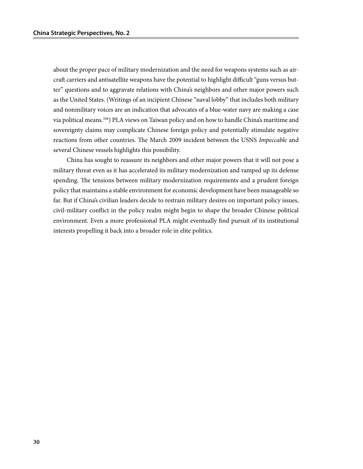about the proper pace of military modernization and the need for weapons systems such as aircraft carriers and antisatellite weapons have the potential to highlight difficult "guns versus butter" questions and to aggravate relations with China's neighbors and other major powers such as the United States. (Writings of an incipient Chinese "naval lobby" that includes both military and nonmilitary voices are an indication that advocates of a blue-water navy are making a case via political means.106) PLA views on Taiwan policy and on how to handle China's maritime and sovereignty claims may complicate Chinese foreign policy and potentially stimulate negative reactions from other countries. The March 2009 incident between the USNS *Impeccable* and several Chinese vessels highlights this possibility.

China has sought to reassure its neighbors and other major powers that it will not pose a military threat even as it has accelerated its military modernization and ramped up its defense spending. The tensions between military modernization requirements and a prudent foreign policy that maintains a stable environment for economic development have been manageable so far. But if China's civilian leaders decide to restrain military desires on important policy issues, civil-military conflict in the policy realm might begin to shape the broader Chinese political environment. Even a more professional PLA might eventually find pursuit of its institutional interests propelling it back into a broader role in elite politics.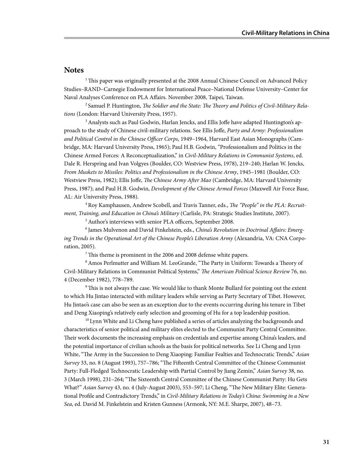#### **Notes**

<sup>1</sup> This paper was originally presented at the 2008 Annual Chinese Council on Advanced Policy Studies–RAND–Carnegie Endowment for International Peace–National Defense University–Center for Naval Analyses Conference on PLA Affairs. November 2008, Taipei, Taiwan.

2 Samuel P. Huntington, *The Soldier and the State: The Theory and Politics of Civil-Military Relations* (London: Harvard University Press, 1957).

<sup>3</sup> Analysts such as Paul Godwin, Harlan Jencks, and Ellis Joffe have adapted Huntington's approach to the study of Chinese civil-military relations. See Ellis Joffe, *Party and Army: Professionalism and Political Control in the Chinese Officer Corps*, 1949–1964, Harvard East Asian Monographs (Cambridge, MA: Harvard University Press, 1965); Paul H.B. Godwin, "Professionalism and Politics in the Chinese Armed Forces: A Reconceptualization," in *Civil-Military Relations in Communist Systems*, ed. Dale R. Herspring and Ivan Volgyes (Boulder, CO: Westview Press, 1978), 219–240; Harlan W. Jencks, *From Muskets to Missiles: Politics and Professionalism in the Chinese Army*, 1945–1981 (Boulder, CO: Westview Press, 1982); Ellis Joffe, *The Chinese Army After Mao* (Cambridge, MA: Harvard University Press, 1987); and Paul H.B. Godwin, *Development of the Chinese Armed Forces* (Maxwell Air Force Base, AL: Air University Press, 1988).

4 Roy Kamphausen, Andrew Scobell, and Travis Tanner, eds., *The "People" in the PLA: Recruitment, Training, and Education in China's Military* (Carlisle, PA: Strategic Studies Institute, 2007). 5 Author's interviews with senior PLA officers, September 2008.

6 James Mulvenon and David Finkelstein, eds., *China's Revolution in Doctrinal Affairs: Emerg-*

*ing Trends in the Operational Art of the Chinese People's Liberation Army* (Alexandria, VA: CNA Corporation, 2005).

7 This theme is prominent in the 2006 and 2008 defense white papers.

8 Amos Perlmutter and William M. LeoGrande, "The Party in Uniform: Towards a Theory of Civil-Military Relations in Communist Political Systems," *The American Political Science Review* 76, no. 4 (December 1982), 778–789.

9 This is not always the case. We would like to thank Monte Bullard for pointing out the extent to which Hu Jintao interacted with military leaders while serving as Party Secretary of Tibet. However, Hu Jintao's case can also be seen as an exception due to the events occurring during his tenure in Tibet and Deng Xiaoping's relatively early selection and grooming of Hu for a top leadership position.

 $10$  Lynn White and Li Cheng have published a series of articles analyzing the backgrounds and characteristics of senior political and military elites elected to the Communist Party Central Committee. Their work documents the increasing emphasis on credentials and expertise among China's leaders, and the potential importance of civilian schools as the basis for political networks. See Li Cheng and Lynn White, "The Army in the Succession to Deng Xiaoping: Familiar Fealties and Technocratic Trends," *Asian Survey* 33, no. 8 (August 1993), 757–786; "The Fifteenth Central Committee of the Chinese Communist Party: Full-Fledged Technocratic Leadership with Partial Control by Jiang Zemin," *Asian Survey* 38, no. 3 (March 1998), 231–264; "The Sixteenth Central Committee of the Chinese Communist Party: Hu Gets What?" *Asian Survey* 43, no. 4 (July-August 2003), 553–597; Li Cheng, "The New Military Elite: Generational Profile and Contradictory Trends," in *Civil-Military Relations in Today's China: Swimming in a New Sea*, ed. David M. Finkelstein and Kristen Gunness (Armonk, NY: M.E. Sharpe, 2007), 48–73.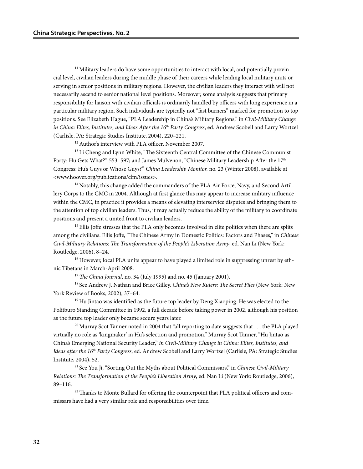<sup>11</sup> Military leaders do have some opportunities to interact with local, and potentially provincial level, civilian leaders during the middle phase of their careers while leading local military units or serving in senior positions in military regions. However, the civilian leaders they interact with will not necessarily ascend to senior national level positions. Moreover, some analysis suggests that primary responsibility for liaison with civilian officials is ordinarily handled by officers with long experience in a particular military region. Such individuals are typically not "fast burners" marked for promotion to top positions. See Elizabeth Hague, "PLA Leadership in China's Military Regions," in *Civil-Military Change in China: Elites, Institutes, and Ideas After the 16<sup>th</sup> Party Congress, ed. Andrew Scobell and Larry Wortzel* (Carlisle, PA: Strategic Studies Institute, 2004), 220–221.

12 Author's interview with PLA officer, November 2007.

<sup>13</sup> Li Cheng and Lynn White, "The Sixteenth Central Committee of the Chinese Communist Party: Hu Gets What?" 553-597; and James Mulvenon, "Chinese Military Leadership After the 17<sup>th</sup> Congress: Hu's Guys or Whose Guys?" *China Leadership Monitor,* no. 23 (Winter 2008), available at <www.hoover.org/publications/clm/issues>.

<sup>14</sup> Notably, this change added the commanders of the PLA Air Force, Navy, and Second Artillery Corps to the CMC in 2004. Although at first glance this may appear to increase military influence within the CMC, in practice it provides a means of elevating interservice disputes and bringing them to the attention of top civilian leaders. Thus, it may actually reduce the ability of the military to coordinate positions and present a united front to civilian leaders.

<sup>15</sup> Ellis Joffe stresses that the PLA only becomes involved in elite politics when there are splits among the civilians. Ellis Joffe, "The Chinese Army in Domestic Politics: Factors and Phases," in *Chinese Civil-Military Relations: The Transformation of the People's Liberation Army*, ed. Nan Li (New York: Routledge, 2006), 8–24.

<sup>16</sup> However, local PLA units appear to have played a limited role in suppressing unrest by ethnic Tibetans in March-April 2008.

<sup>17</sup> The China Journal, no. 34 (July 1995) and no. 45 (January 2001).

18 See Andrew J. Nathan and Brice Gilley, *China's New Rulers: The Secret Files* (New York: New York Review of Books, 2002), 37–64.

 $19$  Hu Jintao was identified as the future top leader by Deng Xiaoping. He was elected to the Politburo Standing Committee in 1992, a full decade before taking power in 2002, although his position as the future top leader only became secure years later.

<sup>20</sup> Murray Scot Tanner noted in 2004 that "all reporting to date suggests that  $\dots$  the PLA played virtually no role as 'kingmaker' in Hu's selection and promotion." Murray Scot Tanner, "Hu Jintao as China's Emerging National Security Leader," *in Civil-Military Change in China: Elites, Institutes, and Ideas after the 16th Party Congress*, ed. Andrew Scobell and Larry Wortzel (Carlisle, PA: Strategic Studies Institute, 2004), 52.

21 See You Ji, "Sorting Out the Myths about Political Commissars," in *Chinese Civil-Military Relations: The Transformation of the People's Liberation Army*, ed. Nan Li (New York: Routledge, 2006), 89–116.

<sup>22</sup> Thanks to Monte Bullard for offering the counterpoint that PLA political officers and commissars have had a very similar role and responsibilities over time.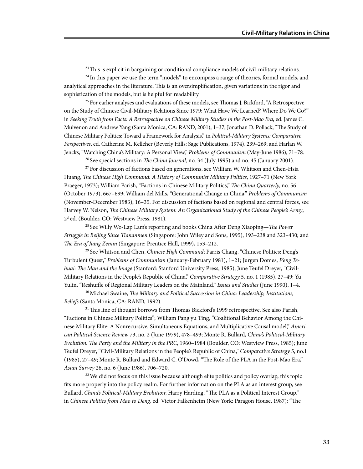$23$  This is explicit in bargaining or conditional compliance models of civil-military relations.

<sup>24</sup> In this paper we use the term "models" to encompass a range of theories, formal models, and analytical approaches in the literature. This is an oversimplification, given variations in the rigor and sophistication of the models, but is helpful for readability.

 $25$  For earlier analyses and evaluations of these models, see Thomas J. Bickford, "A Retrospective on the Study of Chinese Civil-Military Relations Since 1979: What Have We Learned? Where Do We Go?" in *Seeking Truth from Facts: A Retrospective on Chinese Military Studies in the Post-Mao Era*, ed. James C. Mulvenon and Andrew Yang (Santa Monica, CA: RAND, 2001), 1–37; Jonathan D. Pollack, "The Study of Chinese Military Politics: Toward a Framework for Analysis," in *Political-Military Systems: Comparative Perspectives*, ed. Catherine M. Kelleher (Beverly Hills: Sage Publications, 1974), 239–269; and Harlan W. Jencks, "Watching China's Military: A Personal View," *Problems of Communism* (May-June 1986), 71–78.

26 See special sections in *The China Journal,* no. 34 (July 1995) and no. 45 (January 2001).

<sup>27</sup> For discussion of factions based on generations, see William W. Whitson and Chen-Hsia Huang, *The Chinese High Command: A History of Communist Military Politics*, 1927–71 (New York: Praeger, 1973); William Parish, "Factions in Chinese Military Politics," *The China Quarterly,* no. 56 (October 1973), 667–699; William del Mills, "Generational Change in China," *Problems of Communism*  (November-December 1983), 16–35. For discussion of factions based on regional and central forces, see Harvey W. Nelson, *The Chinese Military System: An Organizational Study of the Chinese People's Army*, 2d ed. (Boulder, CO: Westview Press, 1981).

28 See Willy Wo-Lap Lam's reporting and books China After Deng Xiaoping—*The Power Struggle in Beijing Since Tiananmen* (Singapore: John Wiley and Sons, 1995), 193–238 and 323–430; and *The Era of Jiang Zemin* (Singapore: Prentice Hall, 1999), 153–212.

29 See Whitson and Chen, *Chinese High Command*; Parris Chang, "Chinese Politics: Deng's Turbulent Quest," *Problems of Communism* (January-February 1981), 1–21; Jurgen Domes, *P'eng Tehuai: The Man and the Image* (Stanford: Stanford University Press, 1985); June Teufel Dreyer, "Civil-Military Relations in the People's Republic of China," *Comparative Strategy* 5, no. 1 (1985), 27–49; Yu Yulin, "Reshuffle of Regional Military Leaders on the Mainland," *Issues and Studies* (June 1990), 1–4.

30 Michael Swaine, *The Military and Political Succession in China: Leadership, Institutions, Beliefs* (Santa Monica, CA: RAND, 1992).

<sup>31</sup> This line of thought borrows from Thomas Bickford's 1999 retrospective. See also Parish, "Factions in Chinese Military Politics"; William Pang yu Ting, "Coalitional Behavior Among the Chinese Military Elite: A Nonrecursive, Simultaneous Equations, and Multiplicative Causal model," *American Political Science Review* 73, no. 2 (June 1979), 478–493; Monte R. Bullard, *China's Political-Military Evolution: The Party and the Military in the PRC*, 1960–1984 (Boulder, CO: Westview Press, 1985); June Teufel Dreyer, "Civil-Military Relations in the People's Republic of China," *Comparative Strategy* 5, no.1 (1985), 27–49; Monte R. Bullard and Edward C. O'Dowd, "The Role of the PLA in the Post-Mao Era," *Asian Survey* 26, no. 6 (June 1986), 706–720.

<sup>32</sup> We did not focus on this issue because although elite politics and policy overlap, this topic fits more properly into the policy realm. For further information on the PLA as an interest group, see Bullard, *China's Political-Military Evolution*; Harry Harding, "The PLA as a Political Interest Group," in *Chinese Politics from Mao to Deng*, ed. Victor Falkenheim (New York: Paragon House, 1987); "The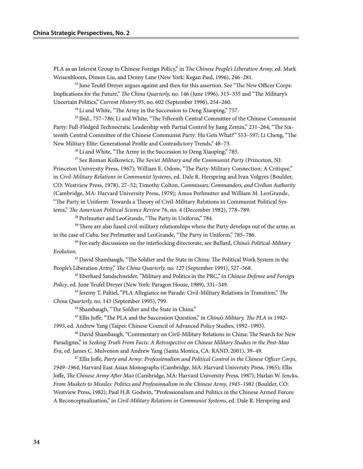PLA as an Interest Group in Chinese Foreign Policy," in T*he Chinese People's Liberation Army*, ed. Mark Weisenbloom, Dimon Liu, and Denny Lane (New York: Kegan Paul, 1996), 246–281.

 $33$  June Teufel Dreyer argues against and then for this assertion. See "The New Officer Corps: Implications for the Future," *The China Quarterly,* no. 146 (June 1996), 315–335 and "The Military's Uncertain Politics," *Current History* 95, no. 602 (September 1996), 254–260.

 $34$  Li and White, "The Army in the Succession to Deng Xiaoping," 757.

35 Ibid., 757–786; Li and White, "The Fifteenth Central Committee of the Chinese Communist Party: Full-Fledged Technocratic Leadership with Partial Control by Jiang Zemin," 231–264; "The Sixteenth Central Committee of the Chinese Communist Party: Hu Gets What?" 553–597; Li Cheng, "The New Military Elite: Generational Profile and Contradictory Trends," 48–73.

<sup>36</sup> Li and White, "The Army in the Succession to Deng Xiaoping," 785.

37 See Roman Kolkowicz, *The Soviet Military and the Communist Party* (Princeton, NJ: Princeton University Press, 1967); William E. Odom, "The Party-Military Connection: A Critique," in *Civil-Military Relations in Communist Systems*, ed. Dale R. Herspring and Ivan Volgyes (Boulder, CO: Westview Press, 1978), 27–52; Timothy Colton, *Commissars, Commanders, and Civilian Authority* (Cambridge, MA: Harvard University Press, 1979); Amos Perlmutter and William M. LeoGrande, "The Party in Uniform: Towards a Theory of Civil-Military Relations in Communist Political Systems," *The American Political Science Review* 76, no. 4 (December 1982), 778–789.

38 Perlmutter and LeoGrande, "The Party in Uniform," 784.

 $39$  There are also fused civil-military relationships where the Party develops out of the army, as in the case of Cuba. See Perlmutter and LeoGrande, "The Party in Uniform," 785–786.

40 For early discussions on the interlocking directorate, see Bullard, *China's Political-Military Evolution*.

41 David Shambaugh, "The Soldier and the State in China: The Political Work System in the People's Liberation Army," *The China Quarterly,* no. 127 (September 1991), 527–568.

42 Eberhard Sandschneider, "Military and Politics in the PRC," in *Chinese Defense and Foreign Policy*, ed. June Teufel Dreyer (New York: Paragon House, 1989), 331–349.

43 Jeremy T. Paltiel, "PLA Allegiance on Parade: Civil-Military Relations in Transition," *The China Quarterly,* no. 143 (September 1995), 799.

44 Shambaugh, "The Soldier and the State in China."

45 Ellis Joffe, "The PLA and the Succession Question," in *China's Military, The PLA in 1992– 1993*, ed. Andrew Yang (Taipei: Chinese Council of Advanced Policy Studies, 1992–1993).

46 David Shambaugh, "Commentary on Civil-Military Relations in China: The Search for New Paradigms," in *Seeking Truth From Facts: A Retrospective on Chinese Military Studies in the Post-Mao Era*, ed. James C. Mulvenon and Andrew Yang (Santa Monica, CA: RAND, 2001), 39–49.

47 Ellis Joffe, *Party and Army: Professionalism and Political Control in the Chinese Officer Corps, 1949–1964*, Harvard East Asian Monographs (Cambridge, MA: Harvard University Press, 1965); Ellis Joffe, *The Chinese Army After Mao* (Cambridge, MA: Harvard University Press, 1987); Harlan W. Jencks, *From Muskets to Missiles: Politics and Professionalism in the Chinese Army, 1945–1981* (Boulder, CO: Westview Press, 1982); Paul H.B. Godwin, "Professionalism and Politics in the Chinese Armed Forces: A Reconceptualization," in *Civil-Military Relations in Communist Systems*, ed. Dale R. Herspring and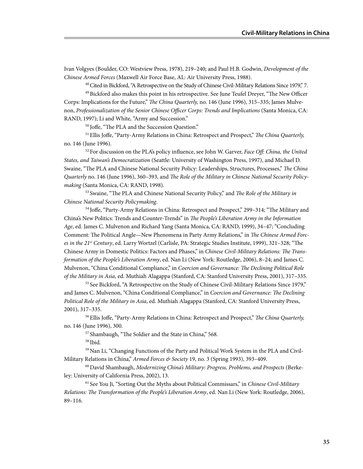Ivan Volgyes (Boulder, CO: Westview Press, 1978), 219–240; and Paul H.B. Godwin, *Development of the Chinese Armed Forces* (Maxwell Air Force Base, AL: Air University Press, 1988).

48 Cited in Bickford, "A Retrospective on the Study of Chinese Civil-Military Relations Since 1979," 7.

49 Bickford also makes this point in his retrospective. See June Teufel Dreyer, "The New Officer Corps: Implications for the Future," *The China Quarterly,* no. 146 (June 1996), 315–335; James Mulvenon, *Professionalization of the Senior Chinese Officer Corps: Trends and Implications* (Santa Monica, CA: RAND, 1997); Li and White, "Army and Succession."

50 Joffe, "The PLA and the Succession Question."

51 Ellis Joffe, "Party-Army Relations in China: Retrospect and Prospect," *The China Quarterly,* no. 146 (June 1996).

52 For discussion on the PLA's policy influence, see John W. Garver, *Face Off: China, the United States, and Taiwan's Democratization* (Seattle: University of Washington Press, 1997), and Michael D. Swaine, "The PLA and Chinese National Security Policy: Leaderships, Structures, Processes," *The China Quarterly* no. 146 (June 1996), 360–393, and *The Role of the Military in Chinese National Security Policymaking* (Santa Monica, CA: RAND, 1998).

53 Swaine, "The PLA and Chinese National Security Policy," and *The Role of the Military in Chinese National Security Policymaking*.

54 Joffe, "Party-Army Relations in China: Retrospect and Prospect," 299–314; "The Military and China's New Politics: Trends and Counter-Trends" in *The People's Liberation Army in the Information Age*, ed. James C. Mulvenon and Richard Yang (Santa Monica, CA: RAND, 1999), 34–47; "Concluding Comment: The Political Angle—New Phenomena in Party Army Relations," in *The Chinese Armed Forces in the 21st Century*, ed. Larry Wortzel (Carlisle, PA: Strategic Studies Institute, 1999), 321–328; "The Chinese Army in Domestic Politics: Factors and Phases," in *Chinese Civil-Military Relations: The Transformation of the People's Liberation Army*, ed. Nan Li (New York: Routledge, 2006), 8–24; and James C. Mulvenon, "China Conditional Compliance," in *Coercion and Governance: The Declining Political Role of the Military in Asia*, ed. Muthiah Alagappa (Stanford, CA: Stanford University Press, 2001), 317–335.

<sup>55</sup> See Bickford, "A Retrospective on the Study of Chinese Civil-Military Relations Since 1979," and James C. Mulvenon, "China Conditional Compliance," in *Coercion and Governance: The Declining Political Role of the Military in Asia*, ed. Muthiah Alagappa (Stanford, CA: Stanford University Press, 2001), 317–335.

56 Ellis Joffe, "Party-Army Relations in China: Retrospect and Prospect," *The China Quarterly,* no. 146 (June 1996), 300.

57 Shambaugh, "The Soldier and the State in China," 568.

58 Ibid.

59 Nan Li, "Changing Functions of the Party and Political Work System in the PLA and Civil-Military Relations in China," *Armed Forces & Society* 19, no. 3 (Spring 1993), 393–409.

60 David Shambaugh, *Modernizing China's Military: Progress, Problems, and Prospects* (Berkeley: University of California Press, 2002), 13.

61 See You Ji, "Sorting Out the Myths about Political Commissars," in *Chinese Civil-Military Relations: The Transformation of the People's Liberation Army*, ed. Nan Li (New York: Routledge, 2006), 89–116.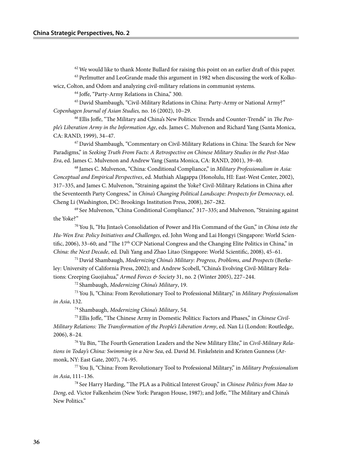$62$  We would like to thank Monte Bullard for raising this point on an earlier draft of this paper.

<sup>63</sup> Perlmutter and LeoGrande made this argument in 1982 when discussing the work of Kolkowicz, Colton, and Odom and analyzing civil-military relations in communist systems.

64 Joffe, "Party-Army Relations in China," 300.

65 David Shambaugh, "Civil-Military Relations in China: Party-Army or National Army?" *Copenhagen Journal of Asian Studies,* no. 16 (2002), 10–29.

66 Ellis Joffe, "The Military and China's New Politics: Trends and Counter-Trends" in *The People's Liberation Army in the Information Age*, eds. James C. Mulvenon and Richard Yang (Santa Monica, CA: RAND, 1999), 34–47.

67 David Shambaugh, "Commentary on Civil-Military Relations in China: The Search for New Paradigms," in *Seeking Truth From Facts: A Retrospective on Chinese Military Studies in the Post-Mao Era*, ed. James C. Mulvenon and Andrew Yang (Santa Monica, CA: RAND, 2001), 39–40.

68 James C. Mulvenon, "China: Conditional Compliance," in *Military Professionalism in Asia: Conceptual and Empirical Perspectives*, ed. Muthiah Alagappa (Honolulu, HI: East-West Center, 2002), 317–335, and James C. Mulvenon, "Straining against the Yoke? Civil-Military Relations in China after the Seventeenth Party Congress," in *China's Changing Political Landscape: Prospects for Democracy*, ed. Cheng Li (Washington, DC: Brookings Institution Press, 2008), 267–282.

 $69$  See Mulvenon, "China Conditional Compliance," 317–335; and Mulvenon, "Straining against the Yoke?"

70 You Ji, "Hu Jintao's Consolidation of Power and His Command of the Gun," in *China into the Hu-Wen Era: Policy Initiatives and Challenges*, ed. John Wong and Lai Hongyi (Singapore: World Scientific, 2006), 33–60; and "The 17<sup>th</sup> CCP National Congress and the Changing Elite Politics in China," in *China: the Next Decade*, ed. Dali Yang and Zhao Litao (Singapore: World Scientific, 2008), 45–61.

71 David Shambaugh, *Modernizing China's Military: Progress, Problems, and Prospects* (Berkeley: University of California Press, 2002); and Andrew Scobell, "China's Evolving Civil-Military Relations: Creeping Guojiahua," *Armed Forces & Society* 31, no. 2 (Winter 2005), 227–244.

72 Shambaugh, *Modernizing China's Military*, 19.

73 You Ji, "China: From Revolutionary Tool to Professional Military," in *Military Professionalism in Asia*, 132.

74 Shambaugh, *Modernizing China's Military*, 54.

75 Ellis Joffe, "The Chinese Army in Domestic Politics: Factors and Phases," in *Chinese Civil-Military Relations: The Transformation of the People's Liberation Army*, ed. Nan Li (London: Routledge, 2006), 8–24.

76 Yu Bin, "The Fourth Generation Leaders and the New Military Elite," in *Civil-Military Relations in Today's China: Swimming in a New Sea*, ed. David M. Finkelstein and Kristen Gunness (Armonk, NY: East Gate, 2007), 74–95.

77 You Ji, "China: From Revolutionary Tool to Professional Military," in *Military Professionalism in Asia*, 111–136.

78 See Harry Harding, "The PLA as a Political Interest Group," in *Chinese Politics from Mao to Deng*, ed. Victor Falkenheim (New York: Paragon House, 1987); and Joffe, "The Military and China's New Politics."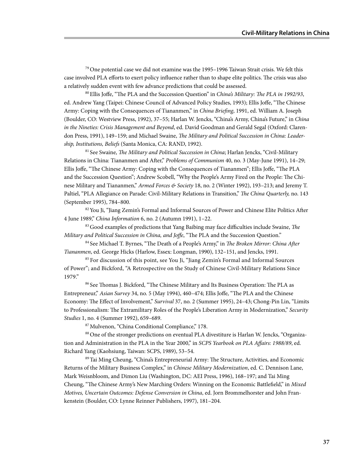$79$  One potential case we did not examine was the 1995–1996 Taiwan Strait crisis. We felt this case involved PLA efforts to exert policy influence rather than to shape elite politics. The crisis was also a relatively sudden event with few advance predictions that could be assessed.

80 Ellis Joffe, "The PLA and the Succession Question" in *China's Military: The PLA in 1992/93*, ed. Andrew Yang (Taipei: Chinese Council of Advanced Policy Studies, 1993); Ellis Joffe, "The Chinese Army: Coping with the Consequences of Tiananmen," in *China Briefing*, 1991, ed. William A. Joseph (Boulder, CO: Westview Press, 1992), 37–55; Harlan W. Jencks, "China's Army, China's Future," in *China in the Nineties: Crisis Management and Beyond*, ed. David Goodman and Gerald Segal (Oxford: Clarendon Press, 1991), 149–159; and Michael Swaine, *The Military and Political Succession in China: Leadership, Institutions, Beliefs* (Santa Monica, CA: RAND, 1992).

81 See Swaine, *The Military and Political Succession in China*; Harlan Jencks, "Civil-Military Relations in China: Tiananmen and After," *Problems of Communism* 40, no. 3 (May-June 1991), 14–29; Ellis Joffe, "The Chinese Army: Coping with the Consequences of Tiananmen"; Ellis Joffe, "The PLA and the Succession Question"; Andrew Scobell, "Why the People's Army Fired on the People: The Chinese Military and Tiananmen," *Armed Forces & Society* 18, no. 2 (Winter 1992), 193–213; and Jeremy T. Paltiel, "PLA Allegiance on Parade: Civil-Military Relations in Transition," *The China Quarterly,* no. 143 (September 1995), 784–800.

 $82$  You Ji, "Jiang Zemin's Formal and Informal Sources of Power and Chinese Elite Politics After 4 June 1989," *China Information* 6, no. 2 (Autumn 1991), 1–22.

83 Good examples of predictions that Yang Baibing may face difficulties include Swaine, *The Military and Political Succession in China, and Joffe*, "The PLA and the Succession Question."

84 See Michael T. Byrnes, "The Death of a People's Army," in *The Broken Mirror: China After Tiananmen*, ed. George Hicks (Harlow, Essex: Longman, 1990), 132–151, and Jencks, 1991.

<sup>85</sup> For discussion of this point, see You Ji, "Jiang Zemin's Formal and Informal Sources of Power"; and Bickford, "A Retrospective on the Study of Chinese Civil-Military Relations Since 1979."

86 See Thomas J. Bickford, "The Chinese Military and Its Business Operation: The PLA as Entrepreneur," *Asian Survey* 34, no. 5 (May 1994), 460–474; Ellis Joffe, "The PLA and the Chinese Economy: The Effect of Involvement," *Survival* 37, no. 2 (Summer 1995), 24–43; Chong-Pin Lin, "Limits to Professionalism: The Extramilitary Roles of the People's Liberation Army in Modernization," *Security Studies* 1, no. 4 (Summer 1992), 659–689.

87 Mulvenon, "China Conditional Compliance," 178.

88 One of the stronger predictions on eventual PLA divestiture is Harlan W. Jencks, "Organization and Administration in the PLA in the Year 2000," in *SCPS Yearbook on PLA Affairs: 1988/89*, ed. Richard Yang (Kaohsiung, Taiwan: SCPS, 1989), 53–54.

89 Tai Ming Cheung, "China's Entrepreneurial Army: The Structure, Activities, and Economic Returns of the Military Business Complex," in *Chinese Military Modernization*, ed. C. Dennison Lane, Mark Weisnbloom, and Dimon Liu (Washington, DC: AEI Press, 1996), 168–197; and Tai Ming Cheung, "The Chinese Army's New Marching Orders: Winning on the Economic Battlefield," in *Mixed Motives, Uncertain Outcomes: Defense Conversion in China*, ed. Jorn Brommelhorster and John Frankenstein (Boulder, CO: Lynne Reinner Publishers, 1997), 181–204.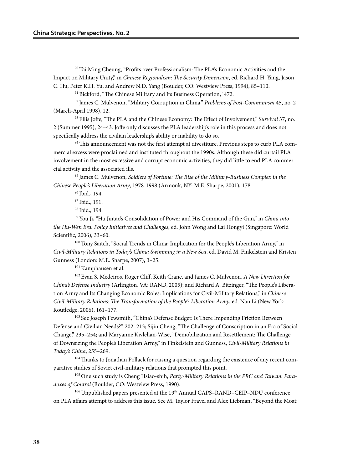90 Tai Ming Cheung, "Profits over Professionalism: The PLA's Economic Activities and the Impact on Military Unity," in *Chinese Regionalism: The Security Dimension*, ed. Richard H. Yang, Jason C. Hu, Peter K.H. Yu, and Andrew N.D. Yang (Boulder, CO: Westview Press, 1994), 85–110.

<sup>91</sup> Bickford, "The Chinese Military and Its Business Operation," 472.

92 James C. Mulvenon, "Military Corruption in China," *Problems of Post-Communism* 45, no. 2 (March-April 1998), 12.

93 Ellis Joffe, "The PLA and the Chinese Economy: The Effect of Involvement," *Survival* 37, no. 2 (Summer 1995), 24–43. Joffe only discusses the PLA leadership's role in this process and does not specifically address the civilian leadership's ability or inability to do so.

94 This announcement was not the first attempt at divestiture. Previous steps to curb PLA commercial excess were proclaimed and instituted throughout the 1990s. Although these did curtail PLA involvement in the most excessive and corrupt economic activities, they did little to end PLA commercial activity and the associated ills.

95 James C. Mulvenon, *Soldiers of Fortune: The Rise of the Military-Business Complex in the Chinese People's Liberation Army*, 1978-1998 (Armonk, NY: M.E. Sharpe, 2001), 178.

96 Ibid., 194.

97 Ibid., 191.

98 Ibid., 194.

99 You Ji, "Hu Jintao's Consolidation of Power and His Command of the Gun," in *China into the Hu-Wen Era: Policy Initiatives and Challenges*, ed. John Wong and Lai Hongyi (Singapore: World Scientific, 2006), 33–60.

100 Tony Saitch, "Social Trends in China: Implication for the People's Liberation Army," in *Civil-Military Relations in Today's China: Swimming in a New Sea*, ed. David M. Finkelstein and Kristen Gunness (London: M.E. Sharpe, 2007), 3–25.

101 Kamphausen et al.

102 Evan S. Medeiros, Roger Cliff, Keith Crane, and James C. Mulvenon, *A New Direction for China's Defense Industry* (Arlington, VA: RAND, 2005); and Richard A. Bitzinger, "The People's Liberation Army and Its Changing Economic Roles: Implications for Civil-Military Relations," in *Chinese Civil-Military Relations: The Transformation of the People's Liberation Army*, ed. Nan Li (New York: Routledge, 2006), 161–177.

<sup>103</sup> See Joseph Fewsmith, "China's Defense Budget: Is There Impending Friction Between Defense and Civilian Needs?" 202–213; Sijin Cheng, "The Challenge of Conscription in an Era of Social Change," 235–254; and Maryanne Kivlehan-Wise, "Demobilization and Resettlement: The Challenge of Downsizing the People's Liberation Army," in Finkelstein and Gunness, *Civil-Military Relations in Today's China*, 255–269.

<sup>104</sup> Thanks to Jonathan Pollack for raising a question regarding the existence of any recent comparative studies of Soviet civil-military relations that prompted this point.

105 One such study is Cheng Hsiao-shih, *Party-Military Relations in the PRC and Taiwan: Paradoxes of Control* (Boulder, CO: Westview Press, 1990).

106 Unpublished papers presented at the 19th Annual CAPS-RAND-CEIP-NDU conference on PLA affairs attempt to address this issue. See M. Taylor Fravel and Alex Liebman, "Beyond the Moat: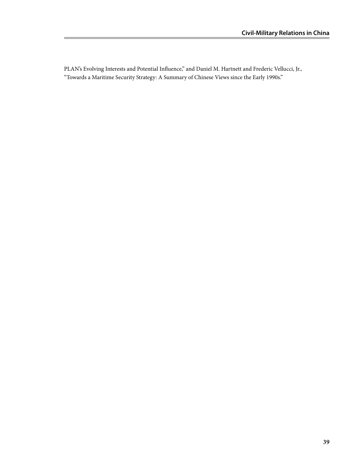PLAN's Evolving Interests and Potential Influence," and Daniel M. Hartnett and Frederic Vellucci, Jr., "Towards a Maritime Security Strategy: A Summary of Chinese Views since the Early 1990s."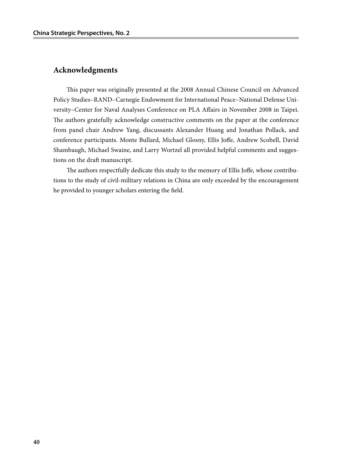## **Acknowledgments**

This paper was originally presented at the 2008 Annual Chinese Council on Advanced Policy Studies–RAND–Carnegie Endowment for International Peace–National Defense University–Center for Naval Analyses Conference on PLA Affairs in November 2008 in Taipei. The authors gratefully acknowledge constructive comments on the paper at the conference from panel chair Andrew Yang, discussants Alexander Huang and Jonathan Pollack, and conference participants. Monte Bullard, Michael Glosny, Ellis Joffe, Andrew Scobell, David Shambaugh, Michael Swaine, and Larry Wortzel all provided helpful comments and suggestions on the draft manuscript.

The authors respectfully dedicate this study to the memory of Ellis Joffe, whose contributions to the study of civil-military relations in China are only exceeded by the encouragement he provided to younger scholars entering the field.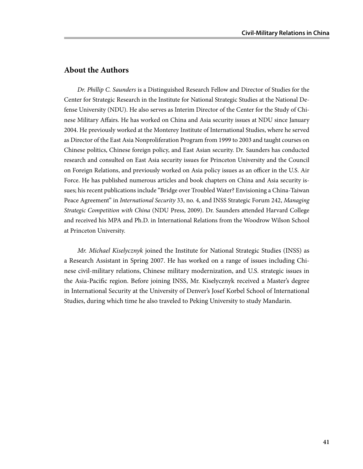### **About the Authors**

*Dr. Phillip C. Saunders* is a Distinguished Research Fellow and Director of Studies for the Center for Strategic Research in the Institute for National Strategic Studies at the National Defense University (NDU). He also serves as Interim Director of the Center for the Study of Chinese Military Affairs. He has worked on China and Asia security issues at NDU since January 2004. He previously worked at the Monterey Institute of International Studies, where he served as Director of the East Asia Nonproliferation Program from 1999 to 2003 and taught courses on Chinese politics, Chinese foreign policy, and East Asian security. Dr. Saunders has conducted research and consulted on East Asia security issues for Princeton University and the Council on Foreign Relations, and previously worked on Asia policy issues as an officer in the U.S. Air Force. He has published numerous articles and book chapters on China and Asia security issues; his recent publications include "Bridge over Troubled Water? Envisioning a China-Taiwan Peace Agreement" in *International Security* 33, no. 4, and INSS Strategic Forum 242, *Managing Strategic Competition with China* (NDU Press, 2009). Dr. Saunders attended Harvard College and received his MPA and Ph.D. in International Relations from the Woodrow Wilson School at Princeton University.

*Mr. Michael Kiselycznyk* joined the Institute for National Strategic Studies (INSS) as a Research Assistant in Spring 2007. He has worked on a range of issues including Chinese civil-military relations, Chinese military modernization, and U.S. strategic issues in the Asia-Pacific region. Before joining INSS, Mr. Kiselycznyk received a Master's degree in International Security at the University of Denver's Josef Korbel School of International Studies, during which time he also traveled to Peking University to study Mandarin.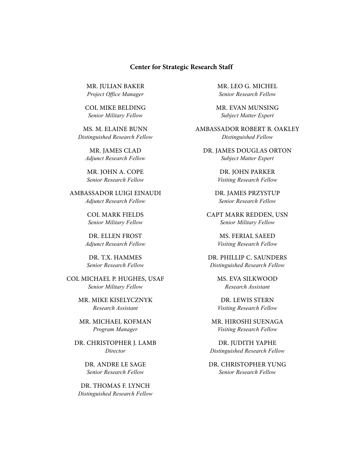#### **Center for Strategic Research Staff**

Mr. Julian Baker *Project Office Manager*

COL Mike Belding *Senior Military Fellow*

Ms. M. Elaine Bunn *Distinguished Research Fellow*

Mr. James Clad *Adjunct Research Fellow*

Mr. John A. Cope *Senior Research Fellow*

Ambassador Luigi Einaudi *Adjunct Research Fellow*

> col Mark Fields *Senior Military Fellow*

Dr. Ellen Frost *Adjunct Research Fellow*

Dr. T.X. Hammes *Senior Research Fellow*

Col Michael P. Hughes, USAF *Senior Military Fellow*

> Mr. Mike Kiselycznyk *Research Assistant*

Mr. Michael Kofman *Program Manager*

Dr. Christopher J. Lamb *Director*

> Dr. Andre Le Sage *Senior Research Fellow*

Dr. Thomas F. Lynch *Distinguished Research Fellow*  Mr. Leo G. Michel *Senior Research Fellow*

Mr. Evan Munsing *Subject Matter Expert*

Ambassador Robert B. Oakley *Distinguished Fellow*

Dr. James Douglas Orton *Subject Matter Expert*

> Dr. John Parker *Visiting Research Fellow*

Dr. James Przystup *Senior Research Fellow*

CAPT Mark Redden, USN *Senior Military Fellow*

> Ms. Ferial Saeed *Visiting Research Fellow*

Dr. Phillip C. Saunders *Distinguished Research Fellow*

> Ms. Eva Silkwood *Research Assistant*

Dr. Lewis Stern *Visiting Research Fellow*

Mr. Hiroshi Suenaga *Visiting Research Fellow*

Dr. Judith Yaphe *Distinguished Research Fellow*

Dr. Christopher Yung *Senior Research Fellow*